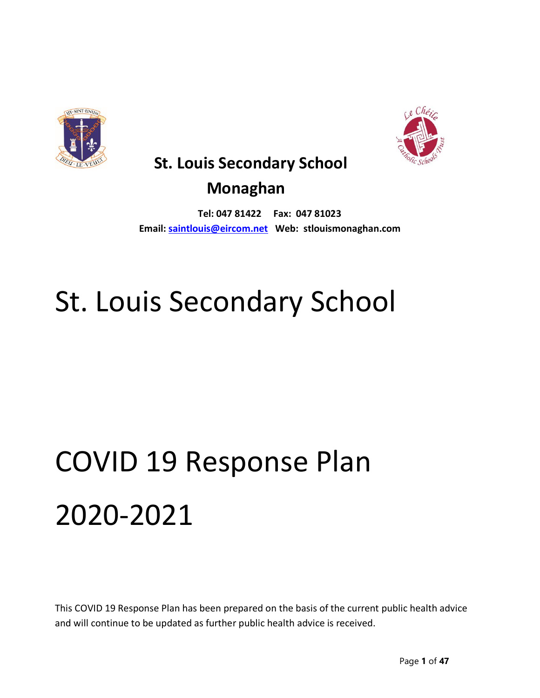



# **St. Louis Secondary School**

# **Monaghan**

**Tel: 047 81422 Fax: 047 81023 Email: [saintlouis@eircom.net](mailto:saintlouis@eircom.net) Web: stlouismonaghan.com**

# St. Louis Secondary School

# COVID 19 Response Plan 2020-2021

This COVID 19 Response Plan has been prepared on the basis of the current public health advice and will continue to be updated as further public health advice is received.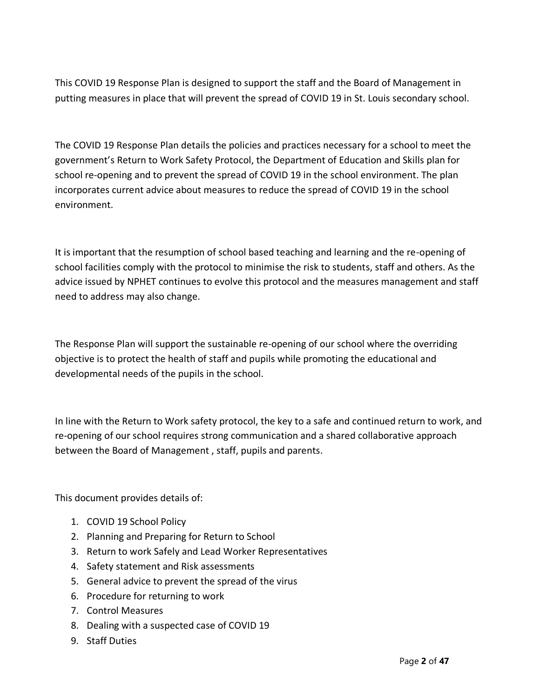This COVID 19 Response Plan is designed to support the staff and the Board of Management in putting measures in place that will prevent the spread of COVID 19 in St. Louis secondary school.

The COVID 19 Response Plan details the policies and practices necessary for a school to meet the government's Return to Work Safety Protocol, the Department of Education and Skills plan for school re-opening and to prevent the spread of COVID 19 in the school environment. The plan incorporates current advice about measures to reduce the spread of COVID 19 in the school environment.

It is important that the resumption of school based teaching and learning and the re-opening of school facilities comply with the protocol to minimise the risk to students, staff and others. As the advice issued by NPHET continues to evolve this protocol and the measures management and staff need to address may also change.

The Response Plan will support the sustainable re-opening of our school where the overriding objective is to protect the health of staff and pupils while promoting the educational and developmental needs of the pupils in the school.

In line with the Return to Work safety protocol, the key to a safe and continued return to work, and re-opening of our school requires strong communication and a shared collaborative approach between the Board of Management , staff, pupils and parents.

This document provides details of:

- 1. COVID 19 School Policy
- 2. Planning and Preparing for Return to School
- 3. Return to work Safely and Lead Worker Representatives
- 4. Safety statement and Risk assessments
- 5. General advice to prevent the spread of the virus
- 6. Procedure for returning to work
- 7. Control Measures
- 8. Dealing with a suspected case of COVID 19
- 9. Staff Duties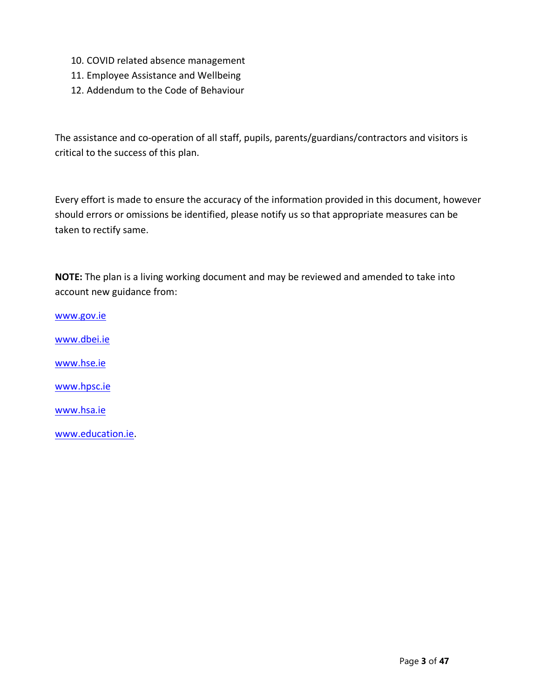- 10. COVID related absence management
- 11. Employee Assistance and Wellbeing
- 12. Addendum to the Code of Behaviour

The assistance and co-operation of all staff, pupils, parents/guardians/contractors and visitors is critical to the success of this plan.

Every effort is made to ensure the accuracy of the information provided in this document, however should errors or omissions be identified, please notify us so that appropriate measures can be taken to rectify same.

**NOTE:** The plan is a living working document and may be reviewed and amended to take into account new guidance from:

[www.gov.ie](http://www.gov.ie/) [www.dbei.ie](http://www.dbei.ie/) [www.hse.ie](http://www.hse.ie/) [www.hpsc.ie](http://www.hpsc.ie/) [www.hsa.ie](http://www.hsa.ie/) [www.education.ie.](http://www.education.ie/)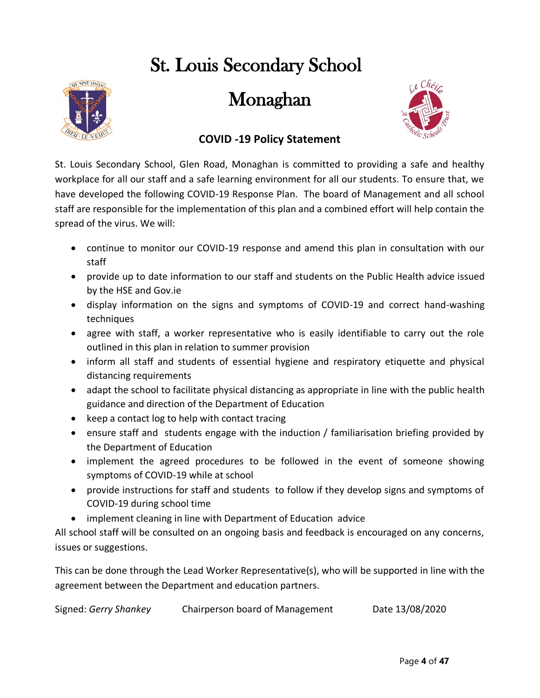# St. Louis Secondary School



Monaghan



# **COVID -19 Policy Statement**

St. Louis Secondary School, Glen Road, Monaghan is committed to providing a safe and healthy workplace for all our staff and a safe learning environment for all our students. To ensure that, we have developed the following COVID-19 Response Plan. The board of Management and all school staff are responsible for the implementation of this plan and a combined effort will help contain the spread of the virus. We will:

- continue to monitor our COVID-19 response and amend this plan in consultation with our staff
- provide up to date information to our staff and students on the Public Health advice issued by the HSE and Gov.ie
- display information on the signs and symptoms of COVID-19 and correct hand-washing techniques
- agree with staff, a worker representative who is easily identifiable to carry out the role outlined in this plan in relation to summer provision
- inform all staff and students of essential hygiene and respiratory etiquette and physical distancing requirements
- adapt the school to facilitate physical distancing as appropriate in line with the public health guidance and direction of the Department of Education
- keep a contact log to help with contact tracing
- ensure staff and students engage with the induction / familiarisation briefing provided by the Department of Education
- implement the agreed procedures to be followed in the event of someone showing symptoms of COVID-19 while at school
- provide instructions for staff and students to follow if they develop signs and symptoms of COVID-19 during school time
- implement cleaning in line with Department of Education advice

All school staff will be consulted on an ongoing basis and feedback is encouraged on any concerns, issues or suggestions.

This can be done through the Lead Worker Representative(s), who will be supported in line with the agreement between the Department and education partners.

```
Signed: Gerry Shankey Chairperson board of Management Date 13/08/2020
```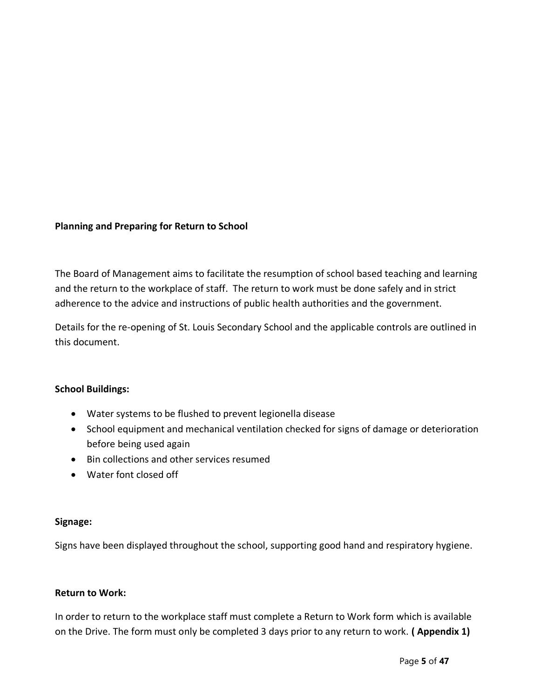# **Planning and Preparing for Return to School**

The Board of Management aims to facilitate the resumption of school based teaching and learning and the return to the workplace of staff. The return to work must be done safely and in strict adherence to the advice and instructions of public health authorities and the government.

Details for the re-opening of St. Louis Secondary School and the applicable controls are outlined in this document.

# **School Buildings:**

- Water systems to be flushed to prevent legionella disease
- School equipment and mechanical ventilation checked for signs of damage or deterioration before being used again
- Bin collections and other services resumed
- Water font closed off

# **Signage:**

Signs have been displayed throughout the school, supporting good hand and respiratory hygiene.

# **Return to Work:**

In order to return to the workplace staff must complete a Return to Work form which is available on the Drive. The form must only be completed 3 days prior to any return to work. **( Appendix 1)**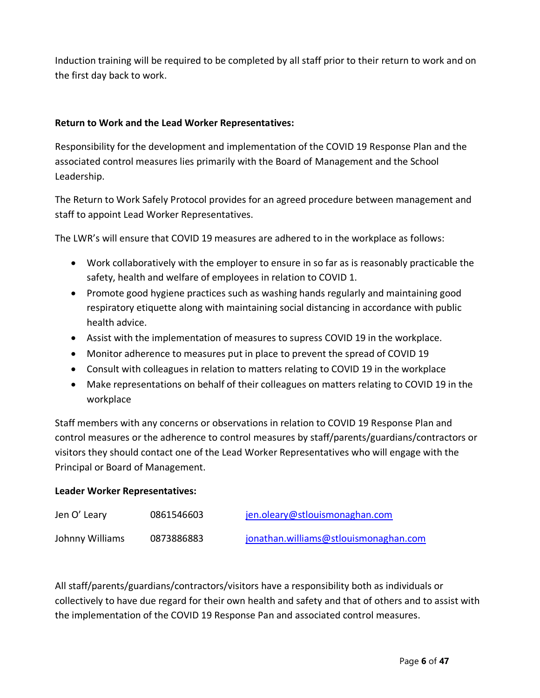Induction training will be required to be completed by all staff prior to their return to work and on the first day back to work.

# **Return to Work and the Lead Worker Representatives:**

Responsibility for the development and implementation of the COVID 19 Response Plan and the associated control measures lies primarily with the Board of Management and the School Leadership.

The Return to Work Safely Protocol provides for an agreed procedure between management and staff to appoint Lead Worker Representatives.

The LWR's will ensure that COVID 19 measures are adhered to in the workplace as follows:

- Work collaboratively with the employer to ensure in so far as is reasonably practicable the safety, health and welfare of employees in relation to COVID 1.
- Promote good hygiene practices such as washing hands regularly and maintaining good respiratory etiquette along with maintaining social distancing in accordance with public health advice.
- Assist with the implementation of measures to supress COVID 19 in the workplace.
- Monitor adherence to measures put in place to prevent the spread of COVID 19
- Consult with colleagues in relation to matters relating to COVID 19 in the workplace
- Make representations on behalf of their colleagues on matters relating to COVID 19 in the workplace

Staff members with any concerns or observations in relation to COVID 19 Response Plan and control measures or the adherence to control measures by staff/parents/guardians/contractors or visitors they should contact one of the Lead Worker Representatives who will engage with the Principal or Board of Management.

# **Leader Worker Representatives:**

| Jen O' Leary    | 0861546603 | jen.oleary@stlouismonaghan.com        |
|-----------------|------------|---------------------------------------|
| Johnny Williams | 0873886883 | jonathan.williams@stlouismonaghan.com |

All staff/parents/guardians/contractors/visitors have a responsibility both as individuals or collectively to have due regard for their own health and safety and that of others and to assist with the implementation of the COVID 19 Response Pan and associated control measures.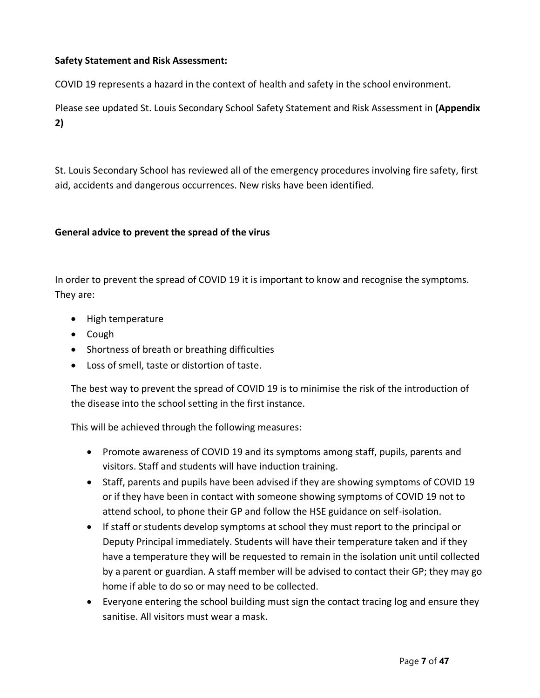# **Safety Statement and Risk Assessment:**

COVID 19 represents a hazard in the context of health and safety in the school environment.

Please see updated St. Louis Secondary School Safety Statement and Risk Assessment in **(Appendix 2)**

St. Louis Secondary School has reviewed all of the emergency procedures involving fire safety, first aid, accidents and dangerous occurrences. New risks have been identified.

# **General advice to prevent the spread of the virus**

In order to prevent the spread of COVID 19 it is important to know and recognise the symptoms. They are:

- High temperature
- Cough
- Shortness of breath or breathing difficulties
- Loss of smell, taste or distortion of taste.

The best way to prevent the spread of COVID 19 is to minimise the risk of the introduction of the disease into the school setting in the first instance.

This will be achieved through the following measures:

- Promote awareness of COVID 19 and its symptoms among staff, pupils, parents and visitors. Staff and students will have induction training.
- Staff, parents and pupils have been advised if they are showing symptoms of COVID 19 or if they have been in contact with someone showing symptoms of COVID 19 not to attend school, to phone their GP and follow the HSE guidance on self-isolation.
- If staff or students develop symptoms at school they must report to the principal or Deputy Principal immediately. Students will have their temperature taken and if they have a temperature they will be requested to remain in the isolation unit until collected by a parent or guardian. A staff member will be advised to contact their GP; they may go home if able to do so or may need to be collected.
- Everyone entering the school building must sign the contact tracing log and ensure they sanitise. All visitors must wear a mask.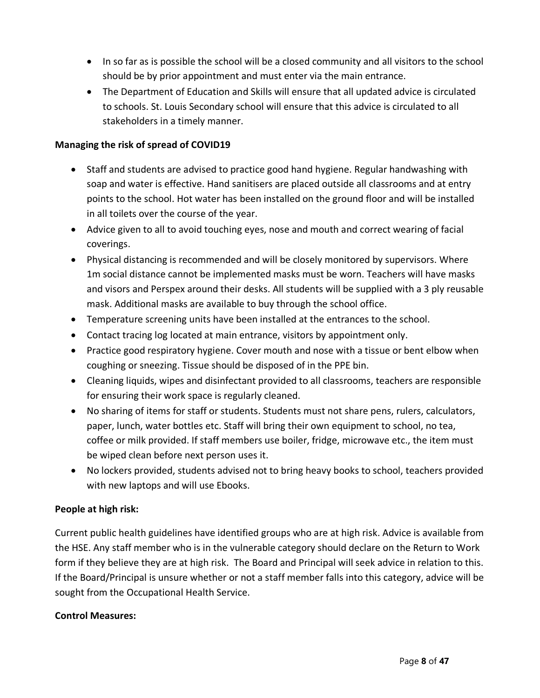- In so far as is possible the school will be a closed community and all visitors to the school should be by prior appointment and must enter via the main entrance.
- The Department of Education and Skills will ensure that all updated advice is circulated to schools. St. Louis Secondary school will ensure that this advice is circulated to all stakeholders in a timely manner.

# **Managing the risk of spread of COVID19**

- Staff and students are advised to practice good hand hygiene. Regular handwashing with soap and water is effective. Hand sanitisers are placed outside all classrooms and at entry points to the school. Hot water has been installed on the ground floor and will be installed in all toilets over the course of the year.
- Advice given to all to avoid touching eyes, nose and mouth and correct wearing of facial coverings.
- Physical distancing is recommended and will be closely monitored by supervisors. Where 1m social distance cannot be implemented masks must be worn. Teachers will have masks and visors and Perspex around their desks. All students will be supplied with a 3 ply reusable mask. Additional masks are available to buy through the school office.
- Temperature screening units have been installed at the entrances to the school.
- Contact tracing log located at main entrance, visitors by appointment only.
- Practice good respiratory hygiene. Cover mouth and nose with a tissue or bent elbow when coughing or sneezing. Tissue should be disposed of in the PPE bin.
- Cleaning liquids, wipes and disinfectant provided to all classrooms, teachers are responsible for ensuring their work space is regularly cleaned.
- No sharing of items for staff or students. Students must not share pens, rulers, calculators, paper, lunch, water bottles etc. Staff will bring their own equipment to school, no tea, coffee or milk provided. If staff members use boiler, fridge, microwave etc., the item must be wiped clean before next person uses it.
- No lockers provided, students advised not to bring heavy books to school, teachers provided with new laptops and will use Ebooks.

# **People at high risk:**

Current public health guidelines have identified groups who are at high risk. Advice is available from the HSE. Any staff member who is in the vulnerable category should declare on the Return to Work form if they believe they are at high risk. The Board and Principal will seek advice in relation to this. If the Board/Principal is unsure whether or not a staff member falls into this category, advice will be sought from the Occupational Health Service.

# **Control Measures:**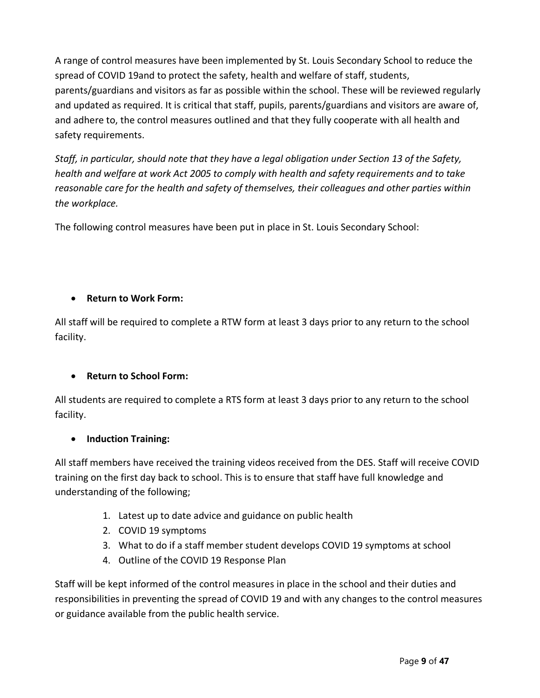A range of control measures have been implemented by St. Louis Secondary School to reduce the spread of COVID 19and to protect the safety, health and welfare of staff, students, parents/guardians and visitors as far as possible within the school. These will be reviewed regularly and updated as required. It is critical that staff, pupils, parents/guardians and visitors are aware of, and adhere to, the control measures outlined and that they fully cooperate with all health and safety requirements.

*Staff, in particular, should note that they have a legal obligation under Section 13 of the Safety, health and welfare at work Act 2005 to comply with health and safety requirements and to take reasonable care for the health and safety of themselves, their colleagues and other parties within the workplace.*

The following control measures have been put in place in St. Louis Secondary School:

# • **Return to Work Form:**

All staff will be required to complete a RTW form at least 3 days prior to any return to the school facility.

# • **Return to School Form:**

All students are required to complete a RTS form at least 3 days prior to any return to the school facility.

# • **Induction Training:**

All staff members have received the training videos received from the DES. Staff will receive COVID training on the first day back to school. This is to ensure that staff have full knowledge and understanding of the following;

- 1. Latest up to date advice and guidance on public health
- 2. COVID 19 symptoms
- 3. What to do if a staff member student develops COVID 19 symptoms at school
- 4. Outline of the COVID 19 Response Plan

Staff will be kept informed of the control measures in place in the school and their duties and responsibilities in preventing the spread of COVID 19 and with any changes to the control measures or guidance available from the public health service.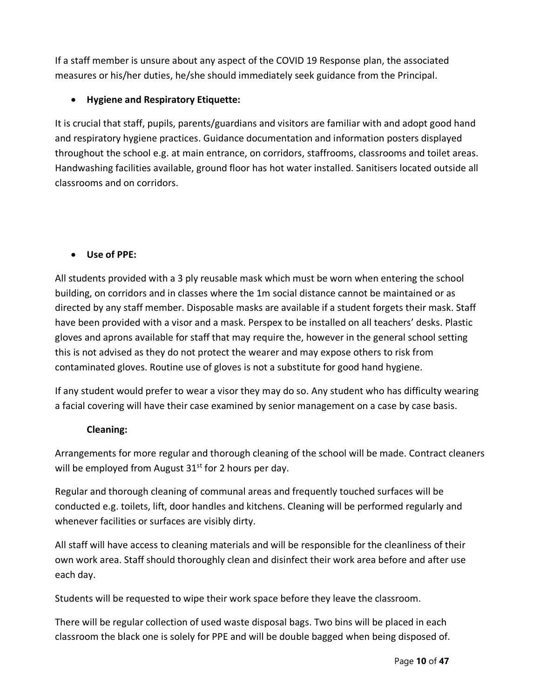If a staff member is unsure about any aspect of the COVID 19 Response plan, the associated measures or his/her duties, he/she should immediately seek guidance from the Principal.

# • **Hygiene and Respiratory Etiquette:**

It is crucial that staff, pupils, parents/guardians and visitors are familiar with and adopt good hand and respiratory hygiene practices. Guidance documentation and information posters displayed throughout the school e.g. at main entrance, on corridors, staffrooms, classrooms and toilet areas. Handwashing facilities available, ground floor has hot water installed. Sanitisers located outside all classrooms and on corridors.

# • **Use of PPE:**

All students provided with a 3 ply reusable mask which must be worn when entering the school building, on corridors and in classes where the 1m social distance cannot be maintained or as directed by any staff member. Disposable masks are available if a student forgets their mask. Staff have been provided with a visor and a mask. Perspex to be installed on all teachers' desks. Plastic gloves and aprons available for staff that may require the, however in the general school setting this is not advised as they do not protect the wearer and may expose others to risk from contaminated gloves. Routine use of gloves is not a substitute for good hand hygiene.

If any student would prefer to wear a visor they may do so. Any student who has difficulty wearing a facial covering will have their case examined by senior management on a case by case basis.

# **Cleaning:**

Arrangements for more regular and thorough cleaning of the school will be made. Contract cleaners will be employed from August  $31<sup>st</sup>$  for 2 hours per day.

Regular and thorough cleaning of communal areas and frequently touched surfaces will be conducted e.g. toilets, lift, door handles and kitchens. Cleaning will be performed regularly and whenever facilities or surfaces are visibly dirty.

All staff will have access to cleaning materials and will be responsible for the cleanliness of their own work area. Staff should thoroughly clean and disinfect their work area before and after use each day.

Students will be requested to wipe their work space before they leave the classroom.

There will be regular collection of used waste disposal bags. Two bins will be placed in each classroom the black one is solely for PPE and will be double bagged when being disposed of.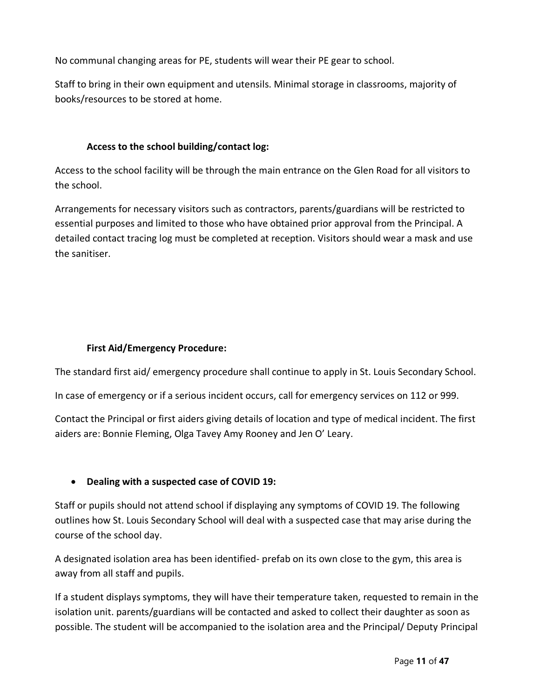No communal changing areas for PE, students will wear their PE gear to school.

Staff to bring in their own equipment and utensils. Minimal storage in classrooms, majority of books/resources to be stored at home.

# **Access to the school building/contact log:**

Access to the school facility will be through the main entrance on the Glen Road for all visitors to the school.

Arrangements for necessary visitors such as contractors, parents/guardians will be restricted to essential purposes and limited to those who have obtained prior approval from the Principal. A detailed contact tracing log must be completed at reception. Visitors should wear a mask and use the sanitiser.

# **First Aid/Emergency Procedure:**

The standard first aid/ emergency procedure shall continue to apply in St. Louis Secondary School.

In case of emergency or if a serious incident occurs, call for emergency services on 112 or 999.

Contact the Principal or first aiders giving details of location and type of medical incident. The first aiders are: Bonnie Fleming, Olga Tavey Amy Rooney and Jen O' Leary.

# • **Dealing with a suspected case of COVID 19:**

Staff or pupils should not attend school if displaying any symptoms of COVID 19. The following outlines how St. Louis Secondary School will deal with a suspected case that may arise during the course of the school day.

A designated isolation area has been identified- prefab on its own close to the gym, this area is away from all staff and pupils.

If a student displays symptoms, they will have their temperature taken, requested to remain in the isolation unit. parents/guardians will be contacted and asked to collect their daughter as soon as possible. The student will be accompanied to the isolation area and the Principal/ Deputy Principal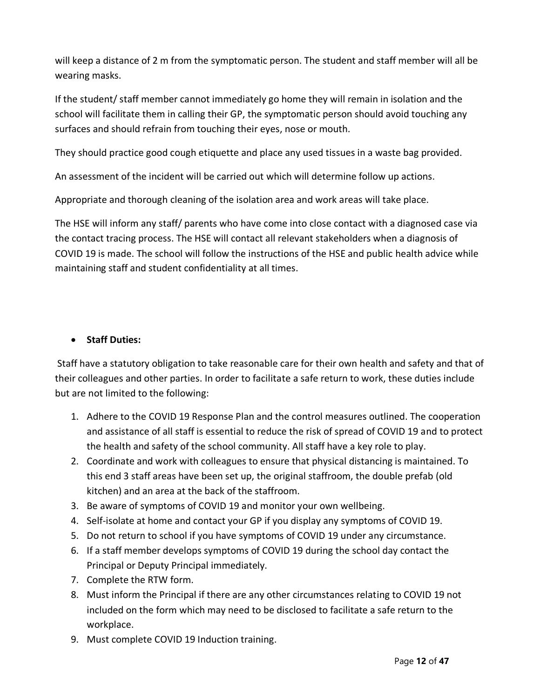will keep a distance of 2 m from the symptomatic person. The student and staff member will all be wearing masks.

If the student/ staff member cannot immediately go home they will remain in isolation and the school will facilitate them in calling their GP, the symptomatic person should avoid touching any surfaces and should refrain from touching their eyes, nose or mouth.

They should practice good cough etiquette and place any used tissues in a waste bag provided.

An assessment of the incident will be carried out which will determine follow up actions.

Appropriate and thorough cleaning of the isolation area and work areas will take place.

The HSE will inform any staff/ parents who have come into close contact with a diagnosed case via the contact tracing process. The HSE will contact all relevant stakeholders when a diagnosis of COVID 19 is made. The school will follow the instructions of the HSE and public health advice while maintaining staff and student confidentiality at all times.

# • **Staff Duties:**

Staff have a statutory obligation to take reasonable care for their own health and safety and that of their colleagues and other parties. In order to facilitate a safe return to work, these duties include but are not limited to the following:

- 1. Adhere to the COVID 19 Response Plan and the control measures outlined. The cooperation and assistance of all staff is essential to reduce the risk of spread of COVID 19 and to protect the health and safety of the school community. All staff have a key role to play.
- 2. Coordinate and work with colleagues to ensure that physical distancing is maintained. To this end 3 staff areas have been set up, the original staffroom, the double prefab (old kitchen) and an area at the back of the staffroom.
- 3. Be aware of symptoms of COVID 19 and monitor your own wellbeing.
- 4. Self-isolate at home and contact your GP if you display any symptoms of COVID 19.
- 5. Do not return to school if you have symptoms of COVID 19 under any circumstance.
- 6. If a staff member develops symptoms of COVID 19 during the school day contact the Principal or Deputy Principal immediately.
- 7. Complete the RTW form.
- 8. Must inform the Principal if there are any other circumstances relating to COVID 19 not included on the form which may need to be disclosed to facilitate a safe return to the workplace.
- 9. Must complete COVID 19 Induction training.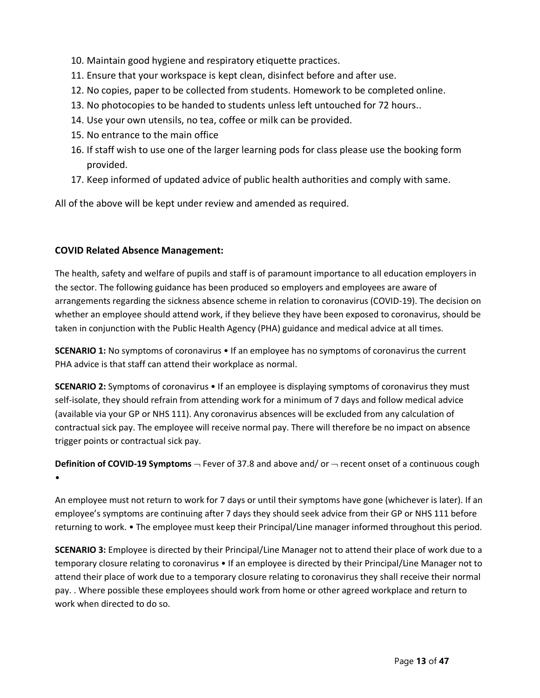- 10. Maintain good hygiene and respiratory etiquette practices.
- 11. Ensure that your workspace is kept clean, disinfect before and after use.
- 12. No copies, paper to be collected from students. Homework to be completed online.
- 13. No photocopies to be handed to students unless left untouched for 72 hours..
- 14. Use your own utensils, no tea, coffee or milk can be provided.
- 15. No entrance to the main office
- 16. If staff wish to use one of the larger learning pods for class please use the booking form provided.
- 17. Keep informed of updated advice of public health authorities and comply with same.

All of the above will be kept under review and amended as required.

# **COVID Related Absence Management:**

The health, safety and welfare of pupils and staff is of paramount importance to all education employers in the sector. The following guidance has been produced so employers and employees are aware of arrangements regarding the sickness absence scheme in relation to coronavirus (COVID-19). The decision on whether an employee should attend work, if they believe they have been exposed to coronavirus, should be taken in conjunction with the Public Health Agency (PHA) guidance and medical advice at all times.

**SCENARIO 1:** No symptoms of coronavirus • If an employee has no symptoms of coronavirus the current PHA advice is that staff can attend their workplace as normal.

**SCENARIO 2:** Symptoms of coronavirus • If an employee is displaying symptoms of coronavirus they must self-isolate, they should refrain from attending work for a minimum of 7 days and follow medical advice (available via your GP or NHS 111). Any coronavirus absences will be excluded from any calculation of contractual sick pay. The employee will receive normal pay. There will therefore be no impact on absence trigger points or contractual sick pay.

**Definition of COVID-19 Symptoms**  $\rightarrow$  Fever of 37.8 and above and/ or  $\rightarrow$  recent onset of a continuous cough •

An employee must not return to work for 7 days or until their symptoms have gone (whichever is later). If an employee's symptoms are continuing after 7 days they should seek advice from their GP or NHS 111 before returning to work. • The employee must keep their Principal/Line manager informed throughout this period.

**SCENARIO 3:** Employee is directed by their Principal/Line Manager not to attend their place of work due to a temporary closure relating to coronavirus • If an employee is directed by their Principal/Line Manager not to attend their place of work due to a temporary closure relating to coronavirus they shall receive their normal pay. . Where possible these employees should work from home or other agreed workplace and return to work when directed to do so.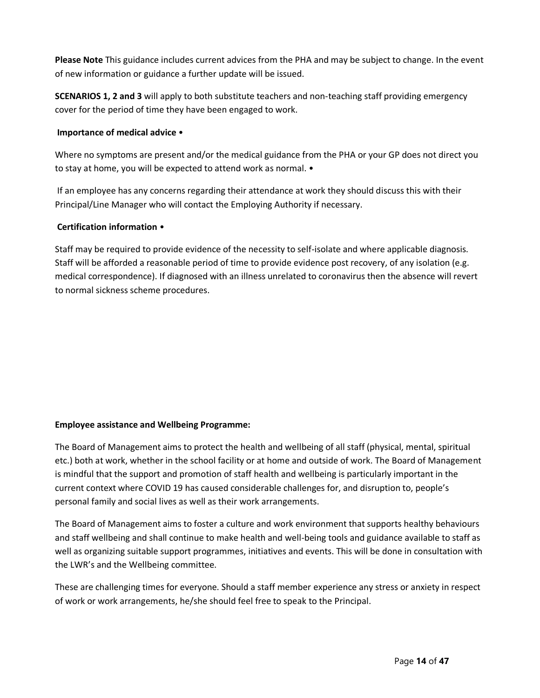**Please Note** This guidance includes current advices from the PHA and may be subject to change. In the event of new information or guidance a further update will be issued.

**SCENARIOS 1, 2 and 3** will apply to both substitute teachers and non-teaching staff providing emergency cover for the period of time they have been engaged to work.

#### **Importance of medical advice** •

Where no symptoms are present and/or the medical guidance from the PHA or your GP does not direct you to stay at home, you will be expected to attend work as normal. •

If an employee has any concerns regarding their attendance at work they should discuss this with their Principal/Line Manager who will contact the Employing Authority if necessary.

#### **Certification information** •

Staff may be required to provide evidence of the necessity to self-isolate and where applicable diagnosis. Staff will be afforded a reasonable period of time to provide evidence post recovery, of any isolation (e.g. medical correspondence). If diagnosed with an illness unrelated to coronavirus then the absence will revert to normal sickness scheme procedures.

# **Employee assistance and Wellbeing Programme:**

The Board of Management aims to protect the health and wellbeing of all staff (physical, mental, spiritual etc.) both at work, whether in the school facility or at home and outside of work. The Board of Management is mindful that the support and promotion of staff health and wellbeing is particularly important in the current context where COVID 19 has caused considerable challenges for, and disruption to, people's personal family and social lives as well as their work arrangements.

The Board of Management aims to foster a culture and work environment that supports healthy behaviours and staff wellbeing and shall continue to make health and well-being tools and guidance available to staff as well as organizing suitable support programmes, initiatives and events. This will be done in consultation with the LWR's and the Wellbeing committee.

These are challenging times for everyone. Should a staff member experience any stress or anxiety in respect of work or work arrangements, he/she should feel free to speak to the Principal.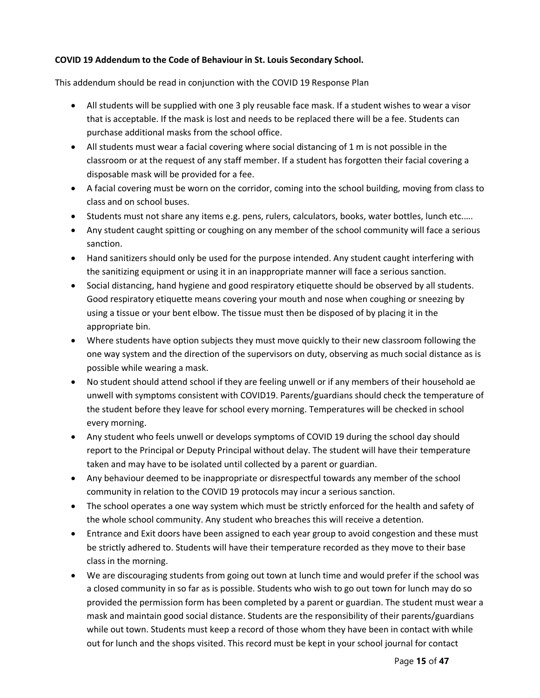## **COVID 19 Addendum to the Code of Behaviour in St. Louis Secondary School.**

This addendum should be read in conjunction with the COVID 19 Response Plan

- All students will be supplied with one 3 ply reusable face mask. If a student wishes to wear a visor that is acceptable. If the mask is lost and needs to be replaced there will be a fee. Students can purchase additional masks from the school office.
- All students must wear a facial covering where social distancing of 1 m is not possible in the classroom or at the request of any staff member. If a student has forgotten their facial covering a disposable mask will be provided for a fee.
- A facial covering must be worn on the corridor, coming into the school building, moving from class to class and on school buses.
- Students must not share any items e.g. pens, rulers, calculators, books, water bottles, lunch etc.….
- Any student caught spitting or coughing on any member of the school community will face a serious sanction.
- Hand sanitizers should only be used for the purpose intended. Any student caught interfering with the sanitizing equipment or using it in an inappropriate manner will face a serious sanction.
- Social distancing, hand hygiene and good respiratory etiquette should be observed by all students. Good respiratory etiquette means covering your mouth and nose when coughing or sneezing by using a tissue or your bent elbow. The tissue must then be disposed of by placing it in the appropriate bin.
- Where students have option subjects they must move quickly to their new classroom following the one way system and the direction of the supervisors on duty, observing as much social distance as is possible while wearing a mask.
- No student should attend school if they are feeling unwell or if any members of their household ae unwell with symptoms consistent with COVID19. Parents/guardians should check the temperature of the student before they leave for school every morning. Temperatures will be checked in school every morning.
- Any student who feels unwell or develops symptoms of COVID 19 during the school day should report to the Principal or Deputy Principal without delay. The student will have their temperature taken and may have to be isolated until collected by a parent or guardian.
- Any behaviour deemed to be inappropriate or disrespectful towards any member of the school community in relation to the COVID 19 protocols may incur a serious sanction.
- The school operates a one way system which must be strictly enforced for the health and safety of the whole school community. Any student who breaches this will receive a detention.
- Entrance and Exit doors have been assigned to each year group to avoid congestion and these must be strictly adhered to. Students will have their temperature recorded as they move to their base class in the morning.
- We are discouraging students from going out town at lunch time and would prefer if the school was a closed community in so far as is possible. Students who wish to go out town for lunch may do so provided the permission form has been completed by a parent or guardian. The student must wear a mask and maintain good social distance. Students are the responsibility of their parents/guardians while out town. Students must keep a record of those whom they have been in contact with while out for lunch and the shops visited. This record must be kept in your school journal for contact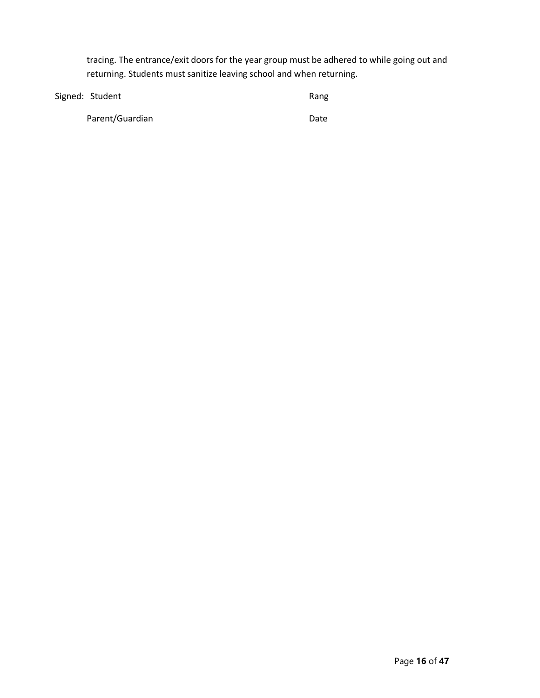tracing. The entrance/exit doors for the year group must be adhered to while going out and returning. Students must sanitize leaving school and when returning.

| Signed: Student | Rang |
|-----------------|------|
| Parent/Guardian | Date |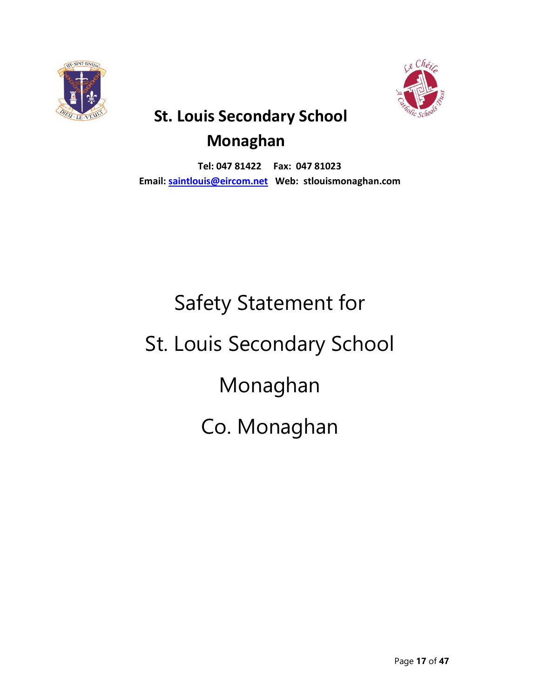



# **St. Louis Secondary School Monaghan**

**Tel: 047 81422 Fax: 047 81023 Email: [saintlouis@eircom.net](mailto:saintlouis@eircom.net) Web: stlouismonaghan.com**

# Safety Statement for St. Louis Secondary School Monaghan Co. Monaghan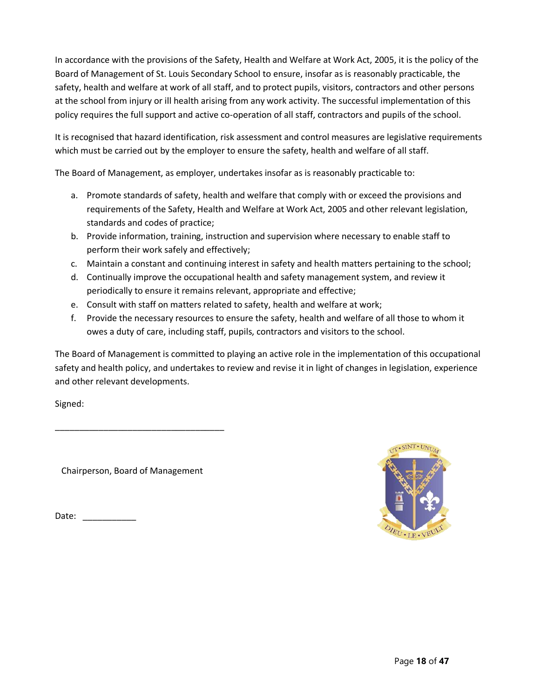In accordance with the provisions of the Safety, Health and Welfare at Work Act, 2005, it is the policy of the Board of Management of St. Louis Secondary School to ensure, insofar as is reasonably practicable, the safety, health and welfare at work of all staff, and to protect pupils, visitors, contractors and other persons at the school from injury or ill health arising from any work activity. The successful implementation of this policy requires the full support and active co-operation of all staff, contractors and pupils of the school.

It is recognised that hazard identification, risk assessment and control measures are legislative requirements which must be carried out by the employer to ensure the safety, health and welfare of all staff.

The Board of Management, as employer, undertakes insofar as is reasonably practicable to:

- a. Promote standards of safety, health and welfare that comply with or exceed the provisions and requirements of the Safety, Health and Welfare at Work Act, 2005 and other relevant legislation, standards and codes of practice;
- b. Provide information, training, instruction and supervision where necessary to enable staff to perform their work safely and effectively;
- c. Maintain a constant and continuing interest in safety and health matters pertaining to the school;
- d. Continually improve the occupational health and safety management system, and review it periodically to ensure it remains relevant, appropriate and effective;
- e. Consult with staff on matters related to safety, health and welfare at work;
- f. Provide the necessary resources to ensure the safety, health and welfare of all those to whom it owes a duty of care, including staff, pupils, contractors and visitors to the school.

The Board of Management is committed to playing an active role in the implementation of this occupational safety and health policy, and undertakes to review and revise it in light of changes in legislation, experience and other relevant developments.

Signed:

Chairperson, Board of Management

\_\_\_\_\_\_\_\_\_\_\_\_\_\_\_\_\_\_\_\_\_\_\_\_\_\_\_\_\_\_\_\_\_\_\_

Date: \_\_\_\_\_\_\_\_\_\_\_

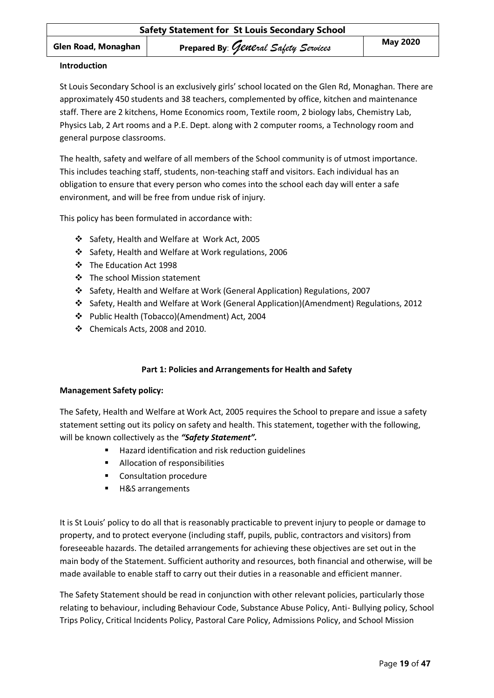#### **Introduction**

St Louis Secondary School is an exclusively girls' school located on the Glen Rd, Monaghan. There are approximately 450 students and 38 teachers, complemented by office, kitchen and maintenance staff. There are 2 kitchens, Home Economics room, Textile room, 2 biology labs, Chemistry Lab, Physics Lab, 2 Art rooms and a P.E. Dept. along with 2 computer rooms, a Technology room and general purpose classrooms.

The health, safety and welfare of all members of the School community is of utmost importance. This includes teaching staff, students, non-teaching staff and visitors. Each individual has an obligation to ensure that every person who comes into the school each day will enter a safe environment, and will be free from undue risk of injury.

This policy has been formulated in accordance with:

- ❖ Safety, Health and Welfare at Work Act, 2005
- ❖ Safety, Health and Welfare at Work regulations, 2006
- ❖ The Education Act 1998
- ❖ The school Mission statement
- ❖ Safety, Health and Welfare at Work (General Application) Regulations, 2007
- ❖ Safety, Health and Welfare at Work (General Application)(Amendment) Regulations, 2012
- ❖ Public Health (Tobacco)(Amendment) Act, 2004
- ❖ Chemicals Acts, 2008 and 2010.

# **Part 1: Policies and Arrangements for Health and Safety**

#### **Management Safety policy:**

The Safety, Health and Welfare at Work Act, 2005 requires the School to prepare and issue a safety statement setting out its policy on safety and health. This statement, together with the following, will be known collectively as the *"Safety Statement".* 

- Hazard identification and risk reduction guidelines
- Allocation of responsibilities
- Consultation procedure
- H&S arrangements

It is St Louis' policy to do all that is reasonably practicable to prevent injury to people or damage to property, and to protect everyone (including staff, pupils, public, contractors and visitors) from foreseeable hazards. The detailed arrangements for achieving these objectives are set out in the main body of the Statement. Sufficient authority and resources, both financial and otherwise, will be made available to enable staff to carry out their duties in a reasonable and efficient manner.

The Safety Statement should be read in conjunction with other relevant policies, particularly those relating to behaviour, including Behaviour Code, Substance Abuse Policy, Anti- Bullying policy, School Trips Policy, Critical Incidents Policy, Pastoral Care Policy, Admissions Policy, and School Mission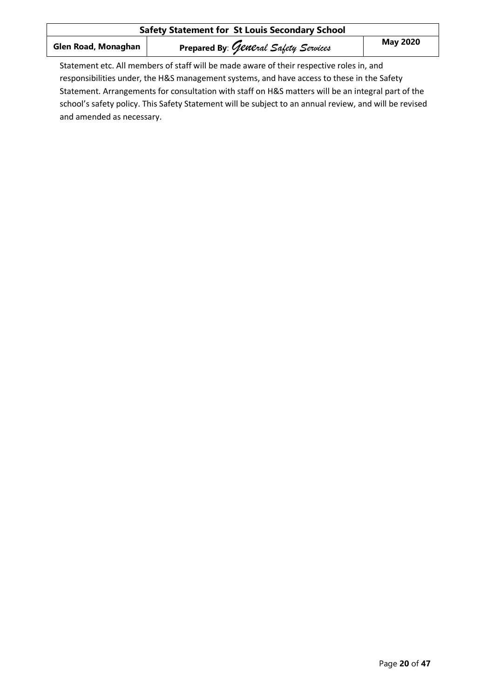| <b>Safety Statement for St Louis Secondary School</b>                                   |                                      |                 |
|-----------------------------------------------------------------------------------------|--------------------------------------|-----------------|
| Glen Road, Monaghan                                                                     | Prepared By: General Safety Services | <b>May 2020</b> |
| Statement etc. All members of staff will be made aware of their respective roles in and |                                      |                 |

Statement etc. All members of staff will be made aware of their respective roles in, and responsibilities under, the H&S management systems, and have access to these in the Safety Statement. Arrangements for consultation with staff on H&S matters will be an integral part of the school's safety policy. This Safety Statement will be subject to an annual review, and will be revised and amended as necessary.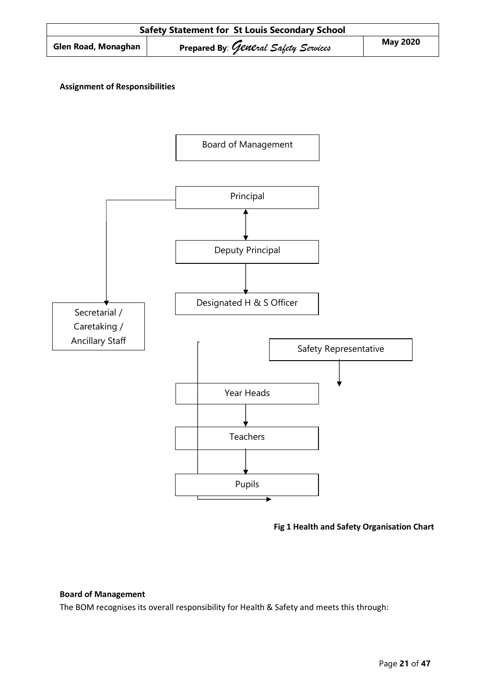

# **Assignment of Responsibilities**



**Fig 1 Health and Safety Organisation Chart**

#### **Board of Management**

The BOM recognises its overall responsibility for Health & Safety and meets this through: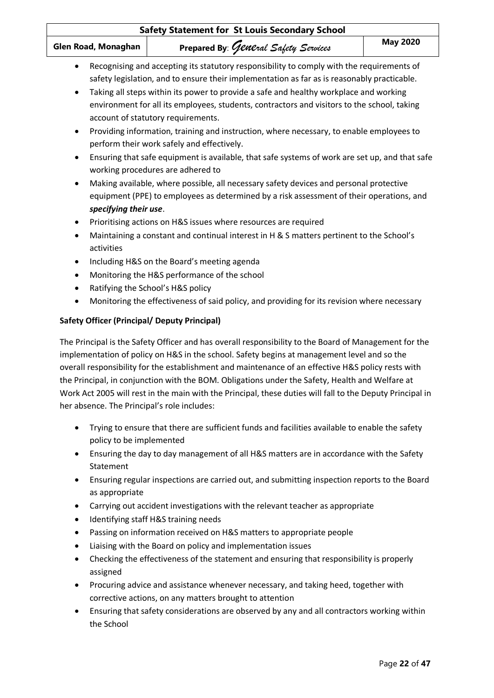| Safety Statement for St Louis Secondary School      |                                                                                                                                                                                                                                                                                                                                                                                                                                                                                                                            |                 |
|-----------------------------------------------------|----------------------------------------------------------------------------------------------------------------------------------------------------------------------------------------------------------------------------------------------------------------------------------------------------------------------------------------------------------------------------------------------------------------------------------------------------------------------------------------------------------------------------|-----------------|
| Glen Road, Monaghan                                 | Prepared By: General Safety Services                                                                                                                                                                                                                                                                                                                                                                                                                                                                                       | <b>May 2020</b> |
| $\bullet$<br>$\bullet$                              | Recognising and accepting its statutory responsibility to comply with the requirements of<br>safety legislation, and to ensure their implementation as far as is reasonably practicable.<br>Taking all steps within its power to provide a safe and healthy workplace and working<br>environment for all its employees, students, contractors and visitors to the school, taking<br>account of statutory requirements.<br>Providing information, training and instruction, where necessary, to enable employees to         |                 |
| $\bullet$                                           | perform their work safely and effectively.<br>Ensuring that safe equipment is available, that safe systems of work are set up, and that safe<br>working procedures are adhered to                                                                                                                                                                                                                                                                                                                                          |                 |
| $\bullet$<br>specifying their use.                  | Making available, where possible, all necessary safety devices and personal protective<br>equipment (PPE) to employees as determined by a risk assessment of their operations, and                                                                                                                                                                                                                                                                                                                                         |                 |
| $\bullet$<br>٠<br>activities                        | Prioritising actions on H&S issues where resources are required<br>Maintaining a constant and continual interest in H & S matters pertinent to the School's                                                                                                                                                                                                                                                                                                                                                                |                 |
| $\bullet$<br>٠<br>$\bullet$<br>$\bullet$            | Including H&S on the Board's meeting agenda<br>Monitoring the H&S performance of the school<br>Ratifying the School's H&S policy<br>Monitoring the effectiveness of said policy, and providing for its revision where necessary                                                                                                                                                                                                                                                                                            |                 |
| <b>Safety Officer (Principal/ Deputy Principal)</b> |                                                                                                                                                                                                                                                                                                                                                                                                                                                                                                                            |                 |
| her absence. The Principal's role includes:         | The Principal is the Safety Officer and has overall responsibility to the Board of Management for the<br>implementation of policy on H&S in the school. Safety begins at management level and so the<br>overall responsibility for the establishment and maintenance of an effective H&S policy rests with<br>the Principal, in conjunction with the BOM. Obligations under the Safety, Health and Welfare at<br>Work Act 2005 will rest in the main with the Principal, these duties will fall to the Deputy Principal in |                 |
| ٠<br>policy to be implemented                       | Trying to ensure that there are sufficient funds and facilities available to enable the safety                                                                                                                                                                                                                                                                                                                                                                                                                             |                 |
| ٠<br>Statement                                      | Ensuring the day to day management of all H&S matters are in accordance with the Safety                                                                                                                                                                                                                                                                                                                                                                                                                                    |                 |
| ٠<br>as appropriate                                 | Ensuring regular inspections are carried out, and submitting inspection reports to the Board                                                                                                                                                                                                                                                                                                                                                                                                                               |                 |
| ٠<br>٠                                              | Carrying out accident investigations with the relevant teacher as appropriate<br>Identifying staff H&S training needs                                                                                                                                                                                                                                                                                                                                                                                                      |                 |
| $\bullet$<br>٠                                      | Passing on information received on H&S matters to appropriate people<br>Liaising with the Board on policy and implementation issues                                                                                                                                                                                                                                                                                                                                                                                        |                 |
| ٠<br>assigned                                       | Checking the effectiveness of the statement and ensuring that responsibility is properly                                                                                                                                                                                                                                                                                                                                                                                                                                   |                 |

- Procuring advice and assistance whenever necessary, and taking heed, together with corrective actions, on any matters brought to attention
- Ensuring that safety considerations are observed by any and all contractors working within the School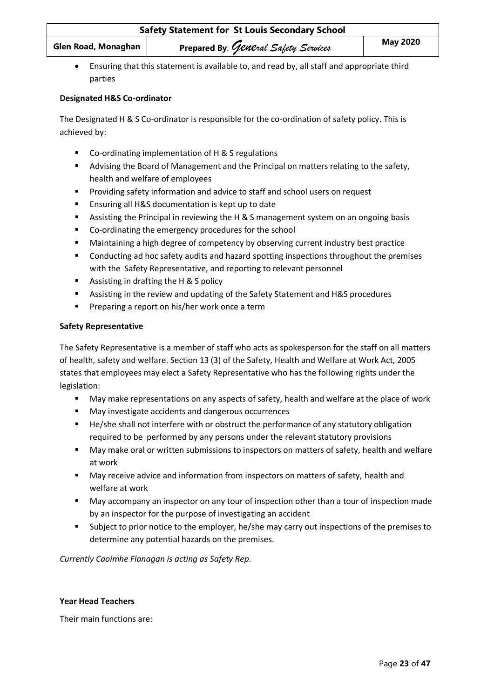| <b>Safety Statement for St Louis Secondary School</b> |                                      |                 |
|-------------------------------------------------------|--------------------------------------|-----------------|
| Glen Road, Monaghan                                   | Prepared By: General Safety Services | <b>May 2020</b> |

• Ensuring that this statement is available to, and read by, all staff and appropriate third parties

## **Designated H&S Co-ordinator**

The Designated H & S Co-ordinator is responsible for the co-ordination of safety policy. This is achieved by:

- Co-ordinating implementation of H & S regulations
- **■** Advising the Board of Management and the Principal on matters relating to the safety, health and welfare of employees
- Providing safety information and advice to staff and school users on request
- Ensuring all H&S documentation is kept up to date
- Assisting the Principal in reviewing the H & S management system on an ongoing basis
- Co-ordinating the emergency procedures for the school
- Maintaining a high degree of competency by observing current industry best practice
- Conducting ad hoc safety audits and hazard spotting inspections throughout the premises with the Safety Representative, and reporting to relevant personnel
- Assisting in drafting the H & S policy
- Assisting in the review and updating of the Safety Statement and H&S procedures
- Preparing a report on his/her work once a term

#### **Safety Representative**

The Safety Representative is a member of staff who acts as spokesperson for the staff on all matters of health, safety and welfare. Section 13 (3) of the Safety, Health and Welfare at Work Act, 2005 states that employees may elect a Safety Representative who has the following rights under the legislation:

- May make representations on any aspects of safety, health and welfare at the place of work
- May investigate accidents and dangerous occurrences
- He/she shall not interfere with or obstruct the performance of any statutory obligation required to be performed by any persons under the relevant statutory provisions
- May make oral or written submissions to inspectors on matters of safety, health and welfare at work
- May receive advice and information from inspectors on matters of safety, health and welfare at work
- May accompany an inspector on any tour of inspection other than a tour of inspection made by an inspector for the purpose of investigating an accident
- **■** Subject to prior notice to the employer, he/she may carry out inspections of the premises to determine any potential hazards on the premises.

*Currently Caoimhe Flanagan is acting as Safety Rep.*

#### **Year Head Teachers**

Their main functions are: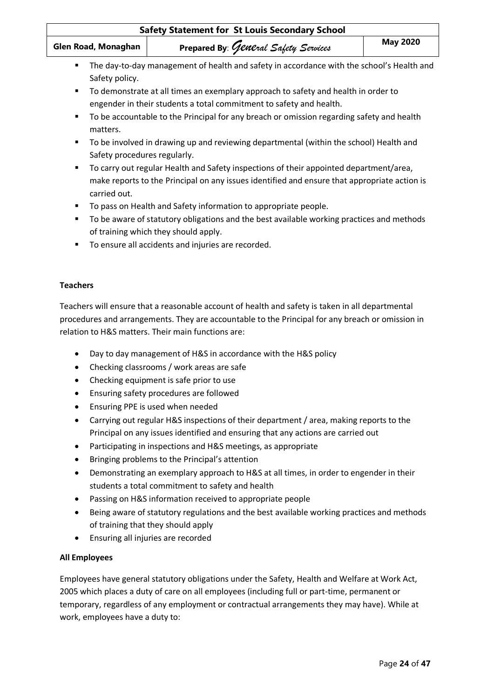| Glen Road, Monaghan               | Prepared By: General Safety Services                                                                                                                                                   | <b>May 2020</b> |
|-----------------------------------|----------------------------------------------------------------------------------------------------------------------------------------------------------------------------------------|-----------------|
| ٠<br>Safety policy.               | The day-to-day management of health and safety in accordance with the school's Health and                                                                                              |                 |
| ٠                                 | To demonstrate at all times an exemplary approach to safety and health in order to<br>engender in their students a total commitment to safety and health.                              |                 |
| ٠<br>matters.                     | To be accountable to the Principal for any breach or omission regarding safety and health                                                                                              |                 |
| ٠<br>Safety procedures regularly. | To be involved in drawing up and reviewing departmental (within the school) Health and                                                                                                 |                 |
| ٠<br>carried out.                 | To carry out regular Health and Safety inspections of their appointed department/area,<br>make reports to the Principal on any issues identified and ensure that appropriate action is |                 |
| ٠                                 | To pass on Health and Safety information to appropriate people.                                                                                                                        |                 |
| п                                 | To be aware of statutory obligations and the best available working practices and methods<br>of training which they should apply.                                                      |                 |
|                                   | To ensure all accidents and injuries are recorded.                                                                                                                                     |                 |
|                                   |                                                                                                                                                                                        |                 |
| <b>Teachers</b>                   |                                                                                                                                                                                        |                 |

Teachers will ensure that a reasonable account of health and safety is taken in all departmental procedures and arrangements. They are accountable to the Principal for any breach or omission in relation to H&S matters. Their main functions are:

- Day to day management of H&S in accordance with the H&S policy
- Checking classrooms / work areas are safe
- Checking equipment is safe prior to use
- Ensuring safety procedures are followed
- Ensuring PPE is used when needed
- Carrying out regular H&S inspections of their department / area, making reports to the Principal on any issues identified and ensuring that any actions are carried out
- Participating in inspections and H&S meetings, as appropriate
- Bringing problems to the Principal's attention
- Demonstrating an exemplary approach to H&S at all times, in order to engender in their students a total commitment to safety and health
- Passing on H&S information received to appropriate people
- Being aware of statutory regulations and the best available working practices and methods of training that they should apply
- Ensuring all injuries are recorded

# **All Employees**

Employees have general statutory obligations under the Safety, Health and Welfare at Work Act, 2005 which places a duty of care on all employees (including full or part-time, permanent or temporary, regardless of any employment or contractual arrangements they may have). While at work, employees have a duty to: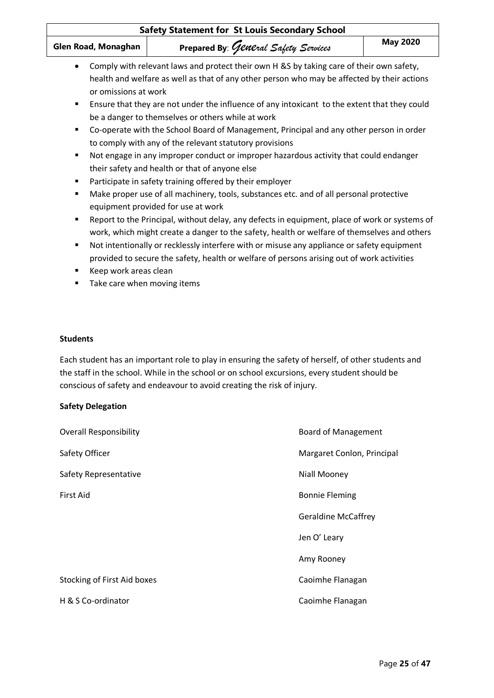| <b>Safety Statement for St Louis Secondary School</b>                    |                                                                                                                                                                                                                                                                                                                                                                                                                                                                                                                                                                                                                                                                                                                                                                                                      |                 |
|--------------------------------------------------------------------------|------------------------------------------------------------------------------------------------------------------------------------------------------------------------------------------------------------------------------------------------------------------------------------------------------------------------------------------------------------------------------------------------------------------------------------------------------------------------------------------------------------------------------------------------------------------------------------------------------------------------------------------------------------------------------------------------------------------------------------------------------------------------------------------------------|-----------------|
| Glen Road, Monaghan                                                      | Prepared By: General Safety Services                                                                                                                                                                                                                                                                                                                                                                                                                                                                                                                                                                                                                                                                                                                                                                 | <b>May 2020</b> |
| $\bullet$<br>or omissions at work<br>٠<br>$\blacksquare$<br>٠<br>٠<br>٠  | Comply with relevant laws and protect their own H &S by taking care of their own safety,<br>health and welfare as well as that of any other person who may be affected by their actions<br>Ensure that they are not under the influence of any intoxicant to the extent that they could<br>be a danger to themselves or others while at work<br>Co-operate with the School Board of Management, Principal and any other person in order<br>to comply with any of the relevant statutory provisions<br>Not engage in any improper conduct or improper hazardous activity that could endanger<br>their safety and health or that of anyone else<br>Participate in safety training offered by their employer<br>Make proper use of all machinery, tools, substances etc. and of all personal protective |                 |
| ٠<br>п<br>Keep work areas clean<br>٠<br>Take care when moving items<br>п | equipment provided for use at work<br>Report to the Principal, without delay, any defects in equipment, place of work or systems of<br>work, which might create a danger to the safety, health or welfare of themselves and others<br>Not intentionally or recklessly interfere with or misuse any appliance or safety equipment<br>provided to secure the safety, health or welfare of persons arising out of work activities                                                                                                                                                                                                                                                                                                                                                                       |                 |

## **Students**

Each student has an important role to play in ensuring the safety of herself, of other students and the staff in the school. While in the school or on school excursions, every student should be conscious of safety and endeavour to avoid creating the risk of injury.

#### **Safety Delegation**

| <b>Overall Responsibility</b> | <b>Board of Management</b> |
|-------------------------------|----------------------------|
| Safety Officer                | Margaret Conlon, Principal |
| Safety Representative         | Niall Mooney               |
| First Aid                     | <b>Bonnie Fleming</b>      |
|                               | <b>Geraldine McCaffrey</b> |
|                               | Jen O' Leary               |
|                               | Amy Rooney                 |
| Stocking of First Aid boxes   | Caoimhe Flanagan           |
| H & S Co-ordinator            | Caoimhe Flanagan           |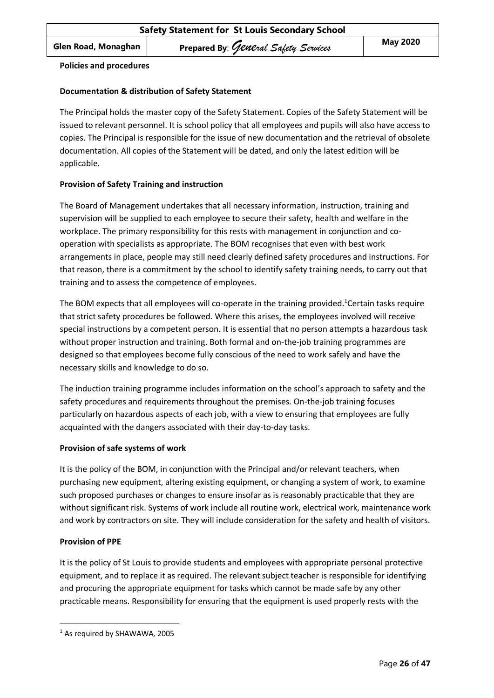#### **Policies and procedures**

#### **Documentation & distribution of Safety Statement**

The Principal holds the master copy of the Safety Statement. Copies of the Safety Statement will be issued to relevant personnel. It is school policy that all employees and pupils will also have access to copies. The Principal is responsible for the issue of new documentation and the retrieval of obsolete documentation. All copies of the Statement will be dated, and only the latest edition will be applicable.

#### **Provision of Safety Training and instruction**

The Board of Management undertakes that all necessary information, instruction, training and supervision will be supplied to each employee to secure their safety, health and welfare in the workplace. The primary responsibility for this rests with management in conjunction and cooperation with specialists as appropriate. The BOM recognises that even with best work arrangements in place, people may still need clearly defined safety procedures and instructions. For that reason, there is a commitment by the school to identify safety training needs, to carry out that training and to assess the competence of employees.

The BOM expects that all employees will co-operate in the training provided.<sup>1</sup>Certain tasks require that strict safety procedures be followed. Where this arises, the employees involved will receive special instructions by a competent person. It is essential that no person attempts a hazardous task without proper instruction and training. Both formal and on-the-job training programmes are designed so that employees become fully conscious of the need to work safely and have the necessary skills and knowledge to do so.

The induction training programme includes information on the school's approach to safety and the safety procedures and requirements throughout the premises. On-the-job training focuses particularly on hazardous aspects of each job, with a view to ensuring that employees are fully acquainted with the dangers associated with their day-to-day tasks.

#### **Provision of safe systems of work**

It is the policy of the BOM, in conjunction with the Principal and/or relevant teachers, when purchasing new equipment, altering existing equipment, or changing a system of work, to examine such proposed purchases or changes to ensure insofar as is reasonably practicable that they are without significant risk. Systems of work include all routine work, electrical work, maintenance work and work by contractors on site. They will include consideration for the safety and health of visitors.

#### **Provision of PPE**

It is the policy of St Louis to provide students and employees with appropriate personal protective equipment, and to replace it as required. The relevant subject teacher is responsible for identifying and procuring the appropriate equipment for tasks which cannot be made safe by any other practicable means. Responsibility for ensuring that the equipment is used properly rests with the

<sup>&</sup>lt;sup>1</sup> As required by SHAWAWA, 2005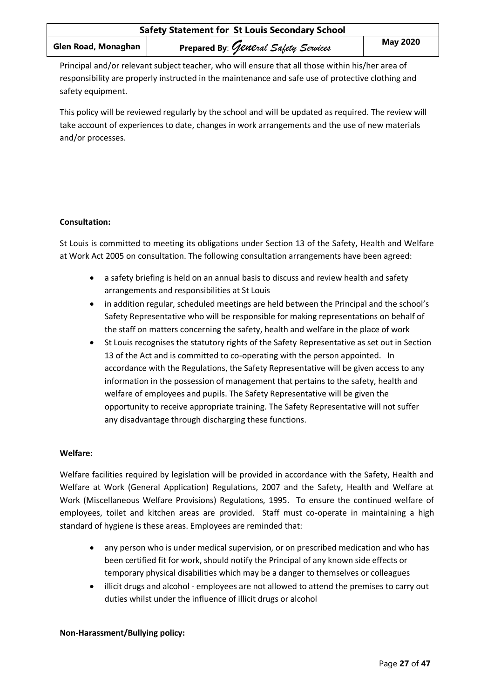Principal and/or relevant subject teacher, who will ensure that all those within his/her area of responsibility are properly instructed in the maintenance and safe use of protective clothing and safety equipment.

This policy will be reviewed regularly by the school and will be updated as required. The review will take account of experiences to date, changes in work arrangements and the use of new materials and/or processes.

# **Consultation:**

St Louis is committed to meeting its obligations under Section 13 of the Safety, Health and Welfare at Work Act 2005 on consultation. The following consultation arrangements have been agreed:

- a safety briefing is held on an annual basis to discuss and review health and safety arrangements and responsibilities at St Louis
- in addition regular, scheduled meetings are held between the Principal and the school's Safety Representative who will be responsible for making representations on behalf of the staff on matters concerning the safety, health and welfare in the place of work
- St Louis recognises the statutory rights of the Safety Representative as set out in Section 13 of the Act and is committed to co-operating with the person appointed. In accordance with the Regulations, the Safety Representative will be given access to any information in the possession of management that pertains to the safety, health and welfare of employees and pupils. The Safety Representative will be given the opportunity to receive appropriate training. The Safety Representative will not suffer any disadvantage through discharging these functions.

# **Welfare:**

Welfare facilities required by legislation will be provided in accordance with the Safety, Health and Welfare at Work (General Application) Regulations, 2007 and the Safety, Health and Welfare at Work (Miscellaneous Welfare Provisions) Regulations, 1995. To ensure the continued welfare of employees, toilet and kitchen areas are provided. Staff must co-operate in maintaining a high standard of hygiene is these areas. Employees are reminded that:

- any person who is under medical supervision, or on prescribed medication and who has been certified fit for work, should notify the Principal of any known side effects or temporary physical disabilities which may be a danger to themselves or colleagues
- illicit drugs and alcohol employees are not allowed to attend the premises to carry out duties whilst under the influence of illicit drugs or alcohol

#### **Non-Harassment/Bullying policy:**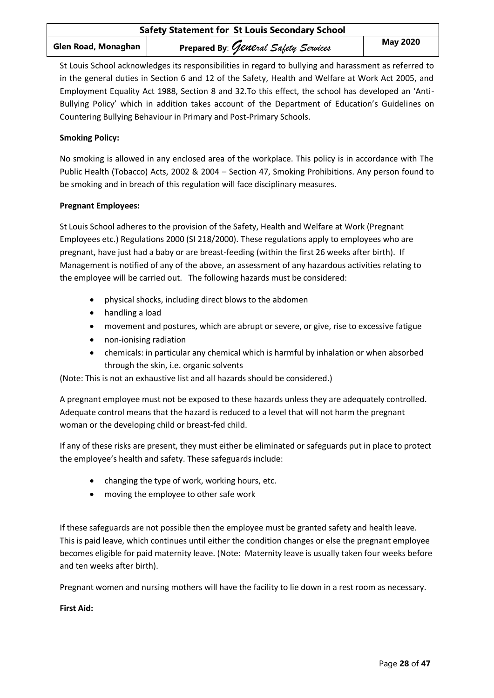St Louis School acknowledges its responsibilities in regard to bullying and harassment as referred to in the general duties in Section 6 and 12 of the Safety, Health and Welfare at Work Act 2005, and Employment Equality Act 1988, Section 8 and 32.To this effect, the school has developed an 'Anti-Bullying Policy' which in addition takes account of the Department of Education's Guidelines on Countering Bullying Behaviour in Primary and Post-Primary Schools.

# **Smoking Policy:**

No smoking is allowed in any enclosed area of the workplace. This policy is in accordance with The Public Health (Tobacco) Acts, 2002 & 2004 – Section 47, Smoking Prohibitions. Any person found to be smoking and in breach of this regulation will face disciplinary measures.

# **Pregnant Employees:**

St Louis School adheres to the provision of the Safety, Health and Welfare at Work (Pregnant Employees etc.) Regulations 2000 (SI 218/2000). These regulations apply to employees who are pregnant, have just had a baby or are breast-feeding (within the first 26 weeks after birth). If Management is notified of any of the above, an assessment of any hazardous activities relating to the employee will be carried out. The following hazards must be considered:

- physical shocks, including direct blows to the abdomen
- handling a load
- movement and postures, which are abrupt or severe, or give, rise to excessive fatigue
- non-ionising radiation
- chemicals: in particular any chemical which is harmful by inhalation or when absorbed through the skin, i.e. organic solvents

(Note: This is not an exhaustive list and all hazards should be considered.)

A pregnant employee must not be exposed to these hazards unless they are adequately controlled. Adequate control means that the hazard is reduced to a level that will not harm the pregnant woman or the developing child or breast-fed child.

If any of these risks are present, they must either be eliminated or safeguards put in place to protect the employee's health and safety. These safeguards include:

- changing the type of work, working hours, etc.
- moving the employee to other safe work

If these safeguards are not possible then the employee must be granted safety and health leave. This is paid leave, which continues until either the condition changes or else the pregnant employee becomes eligible for paid maternity leave. (Note: Maternity leave is usually taken four weeks before and ten weeks after birth).

Pregnant women and nursing mothers will have the facility to lie down in a rest room as necessary.

**First Aid:**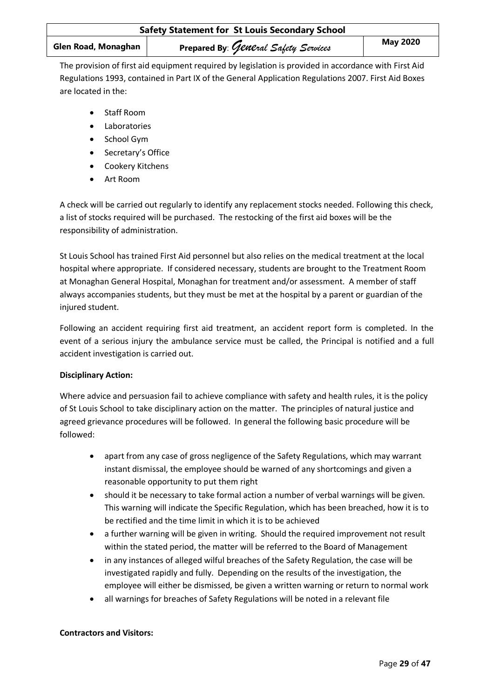| <b>Safety Statement for St Louis Secondary School</b> |                                      |                 |
|-------------------------------------------------------|--------------------------------------|-----------------|
| Glen Road, Monaghan                                   | Prepared By: General Safety Services | <b>May 2020</b> |

The provision of first aid equipment required by legislation is provided in accordance with First Aid Regulations 1993, contained in Part IX of the General Application Regulations 2007. First Aid Boxes are located in the:

- Staff Room
- Laboratories
- School Gym
- Secretary's Office
- Cookery Kitchens
- Art Room

A check will be carried out regularly to identify any replacement stocks needed. Following this check, a list of stocks required will be purchased. The restocking of the first aid boxes will be the responsibility of administration.

St Louis School has trained First Aid personnel but also relies on the medical treatment at the local hospital where appropriate. If considered necessary, students are brought to the Treatment Room at Monaghan General Hospital, Monaghan for treatment and/or assessment. A member of staff always accompanies students, but they must be met at the hospital by a parent or guardian of the injured student.

Following an accident requiring first aid treatment, an accident report form is completed. In the event of a serious injury the ambulance service must be called, the Principal is notified and a full accident investigation is carried out.

# **Disciplinary Action:**

Where advice and persuasion fail to achieve compliance with safety and health rules, it is the policy of St Louis School to take disciplinary action on the matter. The principles of natural justice and agreed grievance procedures will be followed. In general the following basic procedure will be followed:

- apart from any case of gross negligence of the Safety Regulations, which may warrant instant dismissal, the employee should be warned of any shortcomings and given a reasonable opportunity to put them right
- should it be necessary to take formal action a number of verbal warnings will be given. This warning will indicate the Specific Regulation, which has been breached, how it is to be rectified and the time limit in which it is to be achieved
- a further warning will be given in writing. Should the required improvement not result within the stated period, the matter will be referred to the Board of Management
- in any instances of alleged wilful breaches of the Safety Regulation, the case will be investigated rapidly and fully. Depending on the results of the investigation, the employee will either be dismissed, be given a written warning or return to normal work
- all warnings for breaches of Safety Regulations will be noted in a relevant file

# **Contractors and Visitors:**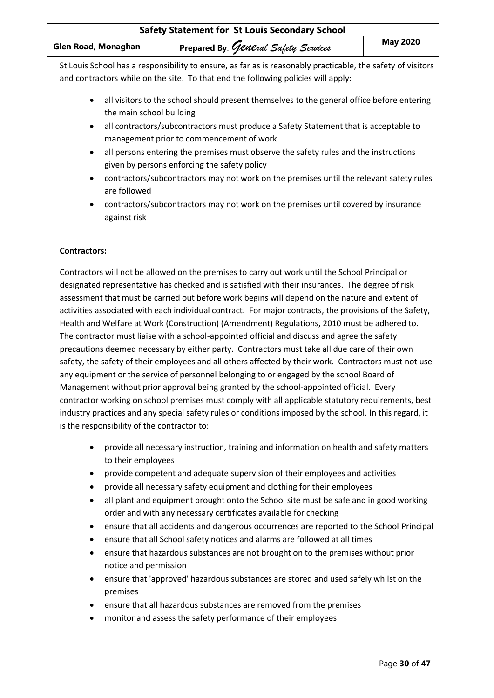| <b>Safety Statement for St Louis Secondary School</b> |                                      |                 |
|-------------------------------------------------------|--------------------------------------|-----------------|
| Glen Road, Monaghan                                   | Prepared By: General Safety Services | <b>May 2020</b> |

St Louis School has a responsibility to ensure, as far as is reasonably practicable, the safety of visitors and contractors while on the site. To that end the following policies will apply:

- all visitors to the school should present themselves to the general office before entering the main school building
- all contractors/subcontractors must produce a Safety Statement that is acceptable to management prior to commencement of work
- all persons entering the premises must observe the safety rules and the instructions given by persons enforcing the safety policy
- contractors/subcontractors may not work on the premises until the relevant safety rules are followed
- contractors/subcontractors may not work on the premises until covered by insurance against risk

#### **Contractors:**

Contractors will not be allowed on the premises to carry out work until the School Principal or designated representative has checked and is satisfied with their insurances. The degree of risk assessment that must be carried out before work begins will depend on the nature and extent of activities associated with each individual contract. For major contracts, the provisions of the Safety, Health and Welfare at Work (Construction) (Amendment) Regulations, 2010 must be adhered to. The contractor must liaise with a school-appointed official and discuss and agree the safety precautions deemed necessary by either party. Contractors must take all due care of their own safety, the safety of their employees and all others affected by their work. Contractors must not use any equipment or the service of personnel belonging to or engaged by the school Board of Management without prior approval being granted by the school-appointed official. Every contractor working on school premises must comply with all applicable statutory requirements, best industry practices and any special safety rules or conditions imposed by the school. In this regard, it is the responsibility of the contractor to:

- provide all necessary instruction, training and information on health and safety matters to their employees
- provide competent and adequate supervision of their employees and activities
- provide all necessary safety equipment and clothing for their employees
- all plant and equipment brought onto the School site must be safe and in good working order and with any necessary certificates available for checking
- ensure that all accidents and dangerous occurrences are reported to the School Principal
- ensure that all School safety notices and alarms are followed at all times
- ensure that hazardous substances are not brought on to the premises without prior notice and permission
- ensure that 'approved' hazardous substances are stored and used safely whilst on the premises
- ensure that all hazardous substances are removed from the premises
- monitor and assess the safety performance of their employees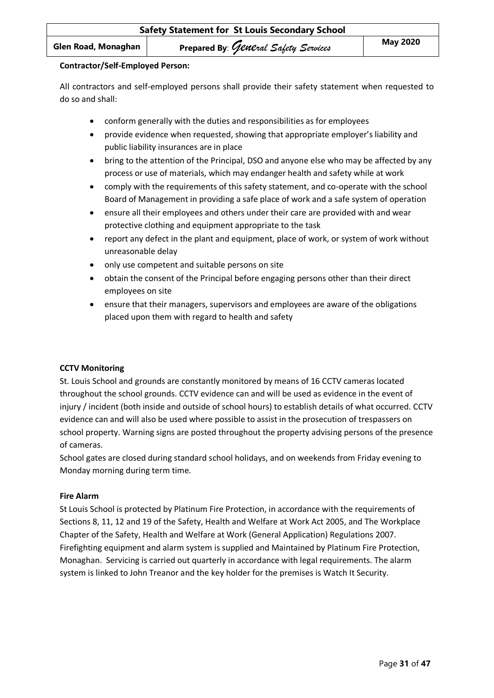#### **Contractor/Self-Employed Person:**

All contractors and self-employed persons shall provide their safety statement when requested to do so and shall:

- conform generally with the duties and responsibilities as for employees
- provide evidence when requested, showing that appropriate employer's liability and public liability insurances are in place
- bring to the attention of the Principal, DSO and anyone else who may be affected by any process or use of materials, which may endanger health and safety while at work
- comply with the requirements of this safety statement, and co-operate with the school Board of Management in providing a safe place of work and a safe system of operation
- ensure all their employees and others under their care are provided with and wear protective clothing and equipment appropriate to the task
- report any defect in the plant and equipment, place of work, or system of work without unreasonable delay
- only use competent and suitable persons on site
- obtain the consent of the Principal before engaging persons other than their direct employees on site
- ensure that their managers, supervisors and employees are aware of the obligations placed upon them with regard to health and safety

#### **CCTV Monitoring**

St. Louis School and grounds are constantly monitored by means of 16 CCTV cameras located throughout the school grounds. CCTV evidence can and will be used as evidence in the event of injury / incident (both inside and outside of school hours) to establish details of what occurred. CCTV evidence can and will also be used where possible to assist in the prosecution of trespassers on school property. Warning signs are posted throughout the property advising persons of the presence of cameras.

School gates are closed during standard school holidays, and on weekends from Friday evening to Monday morning during term time.

#### **Fire Alarm**

St Louis School is protected by Platinum Fire Protection, in accordance with the requirements of Sections 8, 11, 12 and 19 of the Safety, Health and Welfare at Work Act 2005, and The Workplace Chapter of the Safety, Health and Welfare at Work (General Application) Regulations 2007. Firefighting equipment and alarm system is supplied and Maintained by Platinum Fire Protection, Monaghan. Servicing is carried out quarterly in accordance with legal requirements. The alarm system is linked to John Treanor and the key holder for the premises is Watch It Security.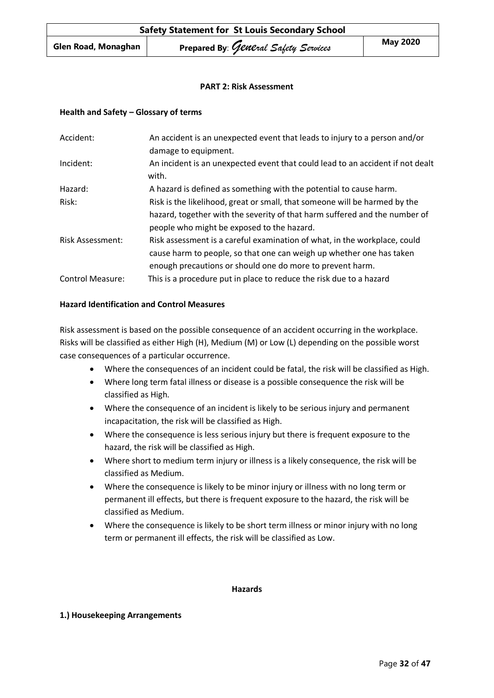#### **PART 2: Risk Assessment**

#### **Health and Safety – Glossary of terms**

| Accident:               | An accident is an unexpected event that leads to injury to a person and/or<br>damage to equipment. |
|-------------------------|----------------------------------------------------------------------------------------------------|
| Incident:               | An incident is an unexpected event that could lead to an accident if not dealt<br>with.            |
| Hazard:                 | A hazard is defined as something with the potential to cause harm.                                 |
| Risk:                   | Risk is the likelihood, great or small, that someone will be harmed by the                         |
|                         | hazard, together with the severity of that harm suffered and the number of                         |
|                         | people who might be exposed to the hazard.                                                         |
| <b>Risk Assessment:</b> | Risk assessment is a careful examination of what, in the workplace, could                          |
|                         | cause harm to people, so that one can weigh up whether one has taken                               |
|                         | enough precautions or should one do more to prevent harm.                                          |
| <b>Control Measure:</b> | This is a procedure put in place to reduce the risk due to a hazard                                |

#### **Hazard Identification and Control Measures**

Risk assessment is based on the possible consequence of an accident occurring in the workplace. Risks will be classified as either High (H), Medium (M) or Low (L) depending on the possible worst case consequences of a particular occurrence.

- Where the consequences of an incident could be fatal, the risk will be classified as High.
- Where long term fatal illness or disease is a possible consequence the risk will be classified as High.
- Where the consequence of an incident is likely to be serious injury and permanent incapacitation, the risk will be classified as High.
- Where the consequence is less serious injury but there is frequent exposure to the hazard, the risk will be classified as High.
- Where short to medium term injury or illness is a likely consequence, the risk will be classified as Medium.
- Where the consequence is likely to be minor injury or illness with no long term or permanent ill effects, but there is frequent exposure to the hazard, the risk will be classified as Medium.
- Where the consequence is likely to be short term illness or minor injury with no long term or permanent ill effects, the risk will be classified as Low.

#### **Hazards**

#### **1.) Housekeeping Arrangements**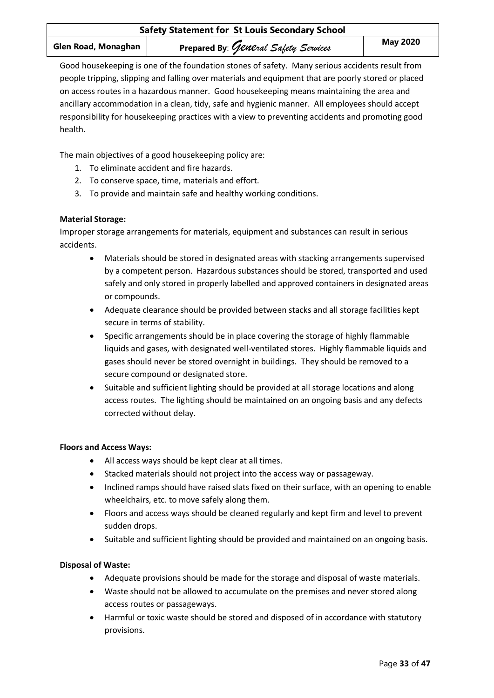Good housekeeping is one of the foundation stones of safety. Many serious accidents result from people tripping, slipping and falling over materials and equipment that are poorly stored or placed on access routes in a hazardous manner. Good housekeeping means maintaining the area and ancillary accommodation in a clean, tidy, safe and hygienic manner. All employees should accept responsibility for housekeeping practices with a view to preventing accidents and promoting good health.

The main objectives of a good housekeeping policy are:

- 1. To eliminate accident and fire hazards.
- 2. To conserve space, time, materials and effort.
- 3. To provide and maintain safe and healthy working conditions.

# **Material Storage:**

Improper storage arrangements for materials, equipment and substances can result in serious accidents.

- Materials should be stored in designated areas with stacking arrangements supervised by a competent person. Hazardous substances should be stored, transported and used safely and only stored in properly labelled and approved containers in designated areas or compounds.
- Adequate clearance should be provided between stacks and all storage facilities kept secure in terms of stability.
- Specific arrangements should be in place covering the storage of highly flammable liquids and gases, with designated well-ventilated stores. Highly flammable liquids and gases should never be stored overnight in buildings. They should be removed to a secure compound or designated store.
- Suitable and sufficient lighting should be provided at all storage locations and along access routes. The lighting should be maintained on an ongoing basis and any defects corrected without delay.

# **Floors and Access Ways:**

- All access ways should be kept clear at all times.
- Stacked materials should not project into the access way or passageway.
- Inclined ramps should have raised slats fixed on their surface, with an opening to enable wheelchairs, etc. to move safely along them.
- Floors and access ways should be cleaned regularly and kept firm and level to prevent sudden drops.
- Suitable and sufficient lighting should be provided and maintained on an ongoing basis.

# **Disposal of Waste:**

- Adequate provisions should be made for the storage and disposal of waste materials.
- Waste should not be allowed to accumulate on the premises and never stored along access routes or passageways.
- Harmful or toxic waste should be stored and disposed of in accordance with statutory provisions.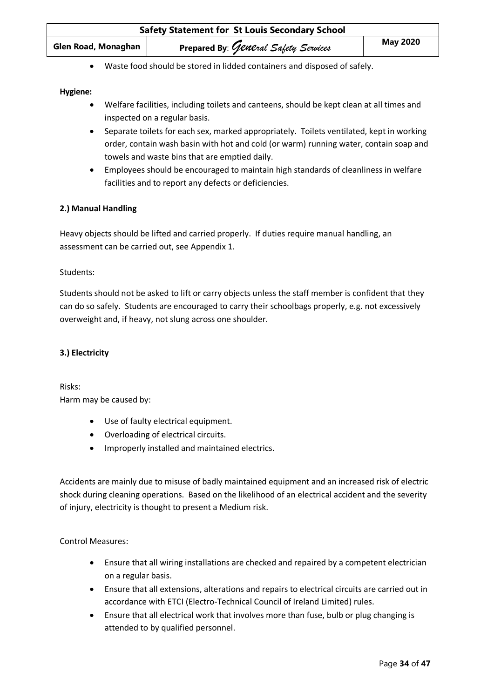| <b>Safety Statement for St Louis Secondary School</b> |                                      |                 |
|-------------------------------------------------------|--------------------------------------|-----------------|
| Glen Road, Monaghan                                   | Prepared By: General Safety Services | <b>May 2020</b> |

• Waste food should be stored in lidded containers and disposed of safely.

#### **Hygiene:**

- Welfare facilities, including toilets and canteens, should be kept clean at all times and inspected on a regular basis.
- Separate toilets for each sex, marked appropriately. Toilets ventilated, kept in working order, contain wash basin with hot and cold (or warm) running water, contain soap and towels and waste bins that are emptied daily.
- Employees should be encouraged to maintain high standards of cleanliness in welfare facilities and to report any defects or deficiencies.

#### **2.) Manual Handling**

Heavy objects should be lifted and carried properly. If duties require manual handling, an assessment can be carried out, see Appendix 1.

#### Students:

Students should not be asked to lift or carry objects unless the staff member is confident that they can do so safely. Students are encouraged to carry their schoolbags properly, e.g. not excessively overweight and, if heavy, not slung across one shoulder.

# **3.) Electricity**

Risks: Harm may be caused by:

- Use of faulty electrical equipment.
- Overloading of electrical circuits.
- Improperly installed and maintained electrics.

Accidents are mainly due to misuse of badly maintained equipment and an increased risk of electric shock during cleaning operations. Based on the likelihood of an electrical accident and the severity of injury, electricity is thought to present a Medium risk.

Control Measures:

- Ensure that all wiring installations are checked and repaired by a competent electrician on a regular basis.
- Ensure that all extensions, alterations and repairs to electrical circuits are carried out in accordance with ETCI (Electro-Technical Council of Ireland Limited) rules.
- Ensure that all electrical work that involves more than fuse, bulb or plug changing is attended to by qualified personnel.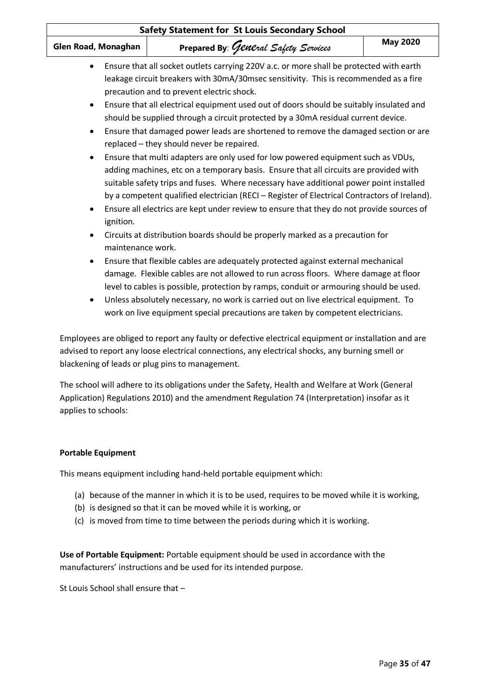| Glen Road, Monaghan                                                        | Prepared By: General Safety Services                                                                                                                                                                                                                                                                                                                                                                                                                                                                                                                                                                                                                                                                                                                                                                                                                                                                                                                                                                                                                                                                                                                                                                                                                                                                                                                                                                                                                                                                                                                | <b>May 2020</b> |
|----------------------------------------------------------------------------|-----------------------------------------------------------------------------------------------------------------------------------------------------------------------------------------------------------------------------------------------------------------------------------------------------------------------------------------------------------------------------------------------------------------------------------------------------------------------------------------------------------------------------------------------------------------------------------------------------------------------------------------------------------------------------------------------------------------------------------------------------------------------------------------------------------------------------------------------------------------------------------------------------------------------------------------------------------------------------------------------------------------------------------------------------------------------------------------------------------------------------------------------------------------------------------------------------------------------------------------------------------------------------------------------------------------------------------------------------------------------------------------------------------------------------------------------------------------------------------------------------------------------------------------------------|-----------------|
| $\bullet$<br>$\bullet$<br>ignition.<br>maintenance work.<br>٠<br>$\bullet$ | Ensure that all socket outlets carrying 220V a.c. or more shall be protected with earth<br>leakage circuit breakers with 30mA/30msec sensitivity. This is recommended as a fire<br>precaution and to prevent electric shock.<br>Ensure that all electrical equipment used out of doors should be suitably insulated and<br>should be supplied through a circuit protected by a 30mA residual current device.<br>Ensure that damaged power leads are shortened to remove the damaged section or are<br>replaced - they should never be repaired.<br>Ensure that multi adapters are only used for low powered equipment such as VDUs,<br>adding machines, etc on a temporary basis. Ensure that all circuits are provided with<br>suitable safety trips and fuses. Where necessary have additional power point installed<br>by a competent qualified electrician (RECI - Register of Electrical Contractors of Ireland).<br>Ensure all electrics are kept under review to ensure that they do not provide sources of<br>Circuits at distribution boards should be properly marked as a precaution for<br>Ensure that flexible cables are adequately protected against external mechanical<br>damage. Flexible cables are not allowed to run across floors. Where damage at floor<br>level to cables is possible, protection by ramps, conduit or armouring should be used.<br>Unless absolutely necessary, no work is carried out on live electrical equipment. To<br>work on live equipment special precautions are taken by competent electricians. |                 |
|                                                                            | Employees are obliged to report any faulty or defective electrical equipment or installation and are<br>advised to report any loose electrical connections, any electrical shocks, any burning smell or<br>blackening of leads or plug pins to management.                                                                                                                                                                                                                                                                                                                                                                                                                                                                                                                                                                                                                                                                                                                                                                                                                                                                                                                                                                                                                                                                                                                                                                                                                                                                                          |                 |
| applies to schools:                                                        | The school will adhere to its obligations under the Safety, Health and Welfare at Work (General<br>Application) Regulations 2010) and the amendment Regulation 74 (Interpretation) insofar as it                                                                                                                                                                                                                                                                                                                                                                                                                                                                                                                                                                                                                                                                                                                                                                                                                                                                                                                                                                                                                                                                                                                                                                                                                                                                                                                                                    |                 |

This means equipment including hand-held portable equipment which:

- (a) because of the manner in which it is to be used, requires to be moved while it is working,
- (b) is designed so that it can be moved while it is working, or
- (c) is moved from time to time between the periods during which it is working.

**Use of Portable Equipment:** Portable equipment should be used in accordance with the manufacturers' instructions and be used for its intended purpose.

St Louis School shall ensure that –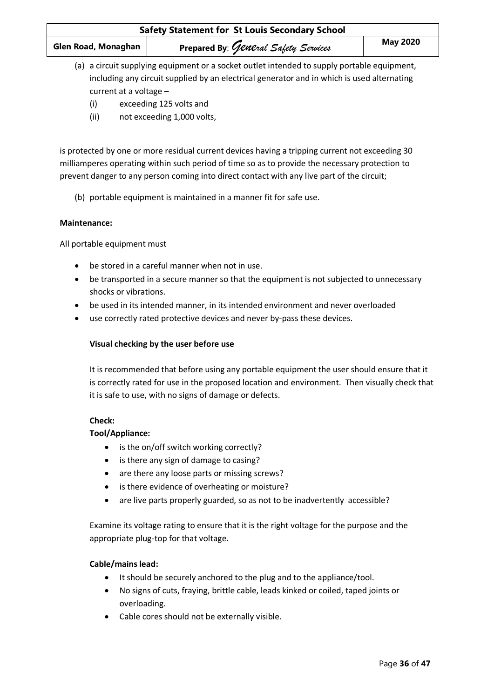- (a) a circuit supplying equipment or a socket outlet intended to supply portable equipment, including any circuit supplied by an electrical generator and in which is used alternating current at a voltage –
	- (i) exceeding 125 volts and
	- (ii) not exceeding 1,000 volts,

is protected by one or more residual current devices having a tripping current not exceeding 30 milliamperes operating within such period of time so as to provide the necessary protection to prevent danger to any person coming into direct contact with any live part of the circuit;

(b) portable equipment is maintained in a manner fit for safe use.

#### **Maintenance:**

All portable equipment must

- be stored in a careful manner when not in use.
- be transported in a secure manner so that the equipment is not subjected to unnecessary shocks or vibrations.
- be used in its intended manner, in its intended environment and never overloaded
- use correctly rated protective devices and never by-pass these devices.

## **Visual checking by the user before use**

It is recommended that before using any portable equipment the user should ensure that it is correctly rated for use in the proposed location and environment. Then visually check that it is safe to use, with no signs of damage or defects.

#### **Check:**

#### **Tool/Appliance:**

- is the on/off switch working correctly?
- is there any sign of damage to casing?
- are there any loose parts or missing screws?
- is there evidence of overheating or moisture?
- are live parts properly guarded, so as not to be inadvertently accessible?

Examine its voltage rating to ensure that it is the right voltage for the purpose and the appropriate plug-top for that voltage.

# **Cable/mains lead:**

- It should be securely anchored to the plug and to the appliance/tool.
- No signs of cuts, fraying, brittle cable, leads kinked or coiled, taped joints or overloading.
- Cable cores should not be externally visible.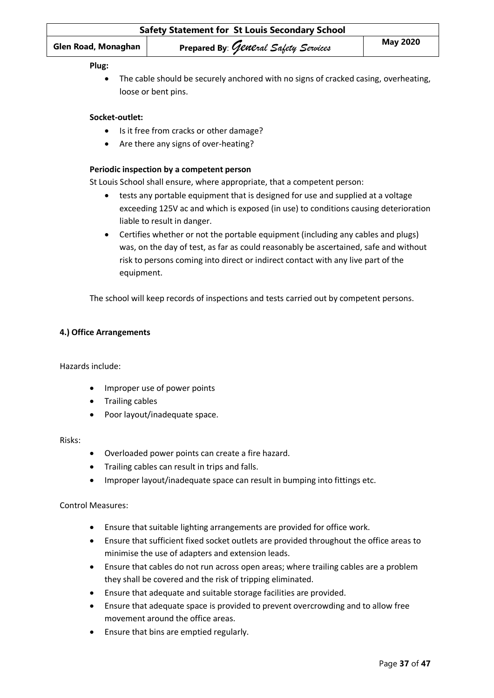| <b>Safety Statement for St Louis Secondary School</b> |                                      |                 |
|-------------------------------------------------------|--------------------------------------|-----------------|
| Glen Road, Monaghan                                   | Prepared By: General Safety Services | <b>May 2020</b> |
|                                                       |                                      |                 |

#### **Plug:**

• The cable should be securely anchored with no signs of cracked casing, overheating, loose or bent pins.

#### **Socket-outlet:**

- Is it free from cracks or other damage?
- Are there any signs of over-heating?

#### **Periodic inspection by a competent person**

St Louis School shall ensure, where appropriate, that a competent person:

- tests any portable equipment that is designed for use and supplied at a voltage exceeding 125V ac and which is exposed (in use) to conditions causing deterioration liable to result in danger.
- Certifies whether or not the portable equipment (including any cables and plugs) was, on the day of test, as far as could reasonably be ascertained, safe and without risk to persons coming into direct or indirect contact with any live part of the equipment.

The school will keep records of inspections and tests carried out by competent persons.

#### **4.) Office Arrangements**

Hazards include:

- Improper use of power points
- Trailing cables
- Poor layout/inadequate space.

#### Risks:

- Overloaded power points can create a fire hazard.
- Trailing cables can result in trips and falls.
- Improper layout/inadequate space can result in bumping into fittings etc.

#### Control Measures:

- Ensure that suitable lighting arrangements are provided for office work.
- Ensure that sufficient fixed socket outlets are provided throughout the office areas to minimise the use of adapters and extension leads.
- Ensure that cables do not run across open areas; where trailing cables are a problem they shall be covered and the risk of tripping eliminated.
- Ensure that adequate and suitable storage facilities are provided.
- Ensure that adequate space is provided to prevent overcrowding and to allow free movement around the office areas.
- Ensure that bins are emptied regularly.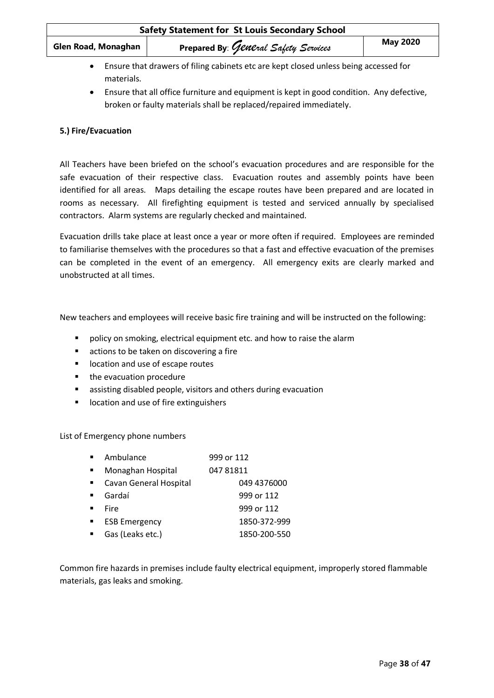| <b>Safety Statement for St Louis Secondary School</b> |                                      |                 |
|-------------------------------------------------------|--------------------------------------|-----------------|
| Glen Road, Monaghan                                   | Prepared By: General Safety Services | <b>May 2020</b> |
|                                                       |                                      |                 |

- Ensure that drawers of filing cabinets etc are kept closed unless being accessed for materials.
- Ensure that all office furniture and equipment is kept in good condition. Any defective, broken or faulty materials shall be replaced/repaired immediately.

# **5.) Fire/Evacuation**

All Teachers have been briefed on the school's evacuation procedures and are responsible for the safe evacuation of their respective class. Evacuation routes and assembly points have been identified for all areas. Maps detailing the escape routes have been prepared and are located in rooms as necessary. All firefighting equipment is tested and serviced annually by specialised contractors. Alarm systems are regularly checked and maintained.

Evacuation drills take place at least once a year or more often if required. Employees are reminded to familiarise themselves with the procedures so that a fast and effective evacuation of the premises can be completed in the event of an emergency. All emergency exits are clearly marked and unobstructed at all times.

New teachers and employees will receive basic fire training and will be instructed on the following:

- policy on smoking, electrical equipment etc. and how to raise the alarm
- actions to be taken on discovering a fire
- location and use of escape routes
- the evacuation procedure
- assisting disabled people, visitors and others during evacuation
- location and use of fire extinguishers

List of Emergency phone numbers

| Ambulance              | 999 or 112   |
|------------------------|--------------|
| Monaghan Hospital      | 04781811     |
| Cavan General Hospital | 049 4376000  |
| Gardaí                 | 999 or 112   |
| Fire                   | 999 or 112   |
| <b>ESB Emergency</b>   | 1850-372-999 |
| Gas (Leaks etc.)       | 1850-200-550 |
|                        |              |

Common fire hazards in premises include faulty electrical equipment, improperly stored flammable materials, gas leaks and smoking.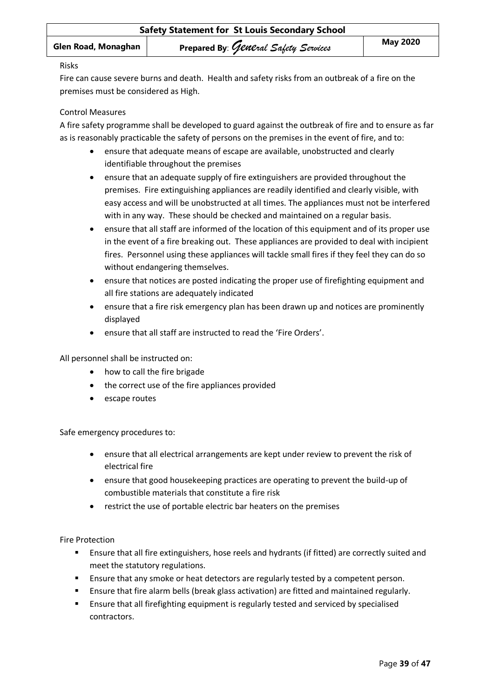#### Risks

Fire can cause severe burns and death. Health and safety risks from an outbreak of a fire on the premises must be considered as High.

# Control Measures

A fire safety programme shall be developed to guard against the outbreak of fire and to ensure as far as is reasonably practicable the safety of persons on the premises in the event of fire, and to:

- ensure that adequate means of escape are available, unobstructed and clearly identifiable throughout the premises
- ensure that an adequate supply of fire extinguishers are provided throughout the premises. Fire extinguishing appliances are readily identified and clearly visible, with easy access and will be unobstructed at all times. The appliances must not be interfered with in any way. These should be checked and maintained on a regular basis.
- ensure that all staff are informed of the location of this equipment and of its proper use in the event of a fire breaking out. These appliances are provided to deal with incipient fires. Personnel using these appliances will tackle small fires if they feel they can do so without endangering themselves.
- ensure that notices are posted indicating the proper use of firefighting equipment and all fire stations are adequately indicated
- ensure that a fire risk emergency plan has been drawn up and notices are prominently displayed
- ensure that all staff are instructed to read the 'Fire Orders'.

All personnel shall be instructed on:

- how to call the fire brigade
- the correct use of the fire appliances provided
- escape routes

Safe emergency procedures to:

- ensure that all electrical arrangements are kept under review to prevent the risk of electrical fire
- ensure that good housekeeping practices are operating to prevent the build-up of combustible materials that constitute a fire risk
- restrict the use of portable electric bar heaters on the premises

Fire Protection

- **EXECT ENSURFER 1** Ensure that all fire extinguishers, hose reels and hydrants (if fitted) are correctly suited and meet the statutory regulations.
- **E** Ensure that any smoke or heat detectors are regularly tested by a competent person.
- **E** Ensure that fire alarm bells (break glass activation) are fitted and maintained regularly.
- Ensure that all firefighting equipment is regularly tested and serviced by specialised contractors.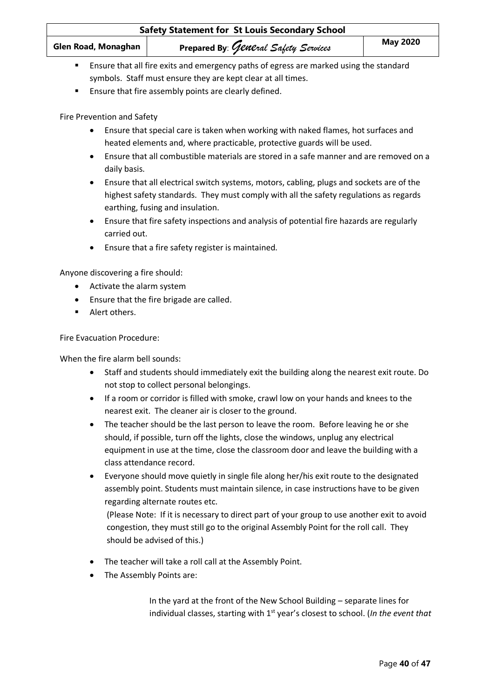| <b>Safety Statement for St Louis Secondary School</b>                                                  |                                                              |                 |
|--------------------------------------------------------------------------------------------------------|--------------------------------------------------------------|-----------------|
| Glen Road, Monaghan                                                                                    | Prepared By: General Safety Services                         | <b>May 2020</b> |
| Ensure that all fire exits and emergency paths of egress are marked using the standard<br>$\mathbf{r}$ |                                                              |                 |
|                                                                                                        | symbols. Staff must ensure they are kept clear at all times. |                 |

■ Ensure that fire assembly points are clearly defined.

Fire Prevention and Safety

- Ensure that special care is taken when working with naked flames, hot surfaces and heated elements and, where practicable, protective guards will be used.
- Ensure that all combustible materials are stored in a safe manner and are removed on a daily basis.
- Ensure that all electrical switch systems, motors, cabling, plugs and sockets are of the highest safety standards. They must comply with all the safety regulations as regards earthing, fusing and insulation.
- Ensure that fire safety inspections and analysis of potential fire hazards are regularly carried out.
- Ensure that a fire safety register is maintained.

Anyone discovering a fire should:

- Activate the alarm system
- Ensure that the fire brigade are called.
- Alert others.

Fire Evacuation Procedure:

When the fire alarm bell sounds:

- Staff and students should immediately exit the building along the nearest exit route. Do not stop to collect personal belongings.
- If a room or corridor is filled with smoke, crawl low on your hands and knees to the nearest exit. The cleaner air is closer to the ground.
- The teacher should be the last person to leave the room. Before leaving he or she should, if possible, turn off the lights, close the windows, unplug any electrical equipment in use at the time, close the classroom door and leave the building with a class attendance record.
- Everyone should move quietly in single file along her/his exit route to the designated assembly point. Students must maintain silence, in case instructions have to be given regarding alternate routes etc.

(Please Note: If it is necessary to direct part of your group to use another exit to avoid congestion, they must still go to the original Assembly Point for the roll call. They should be advised of this.)

- The teacher will take a roll call at the Assembly Point.
- The Assembly Points are:

In the yard at the front of the New School Building – separate lines for individual classes, starting with 1<sup>st</sup> year's closest to school. (*In the event that*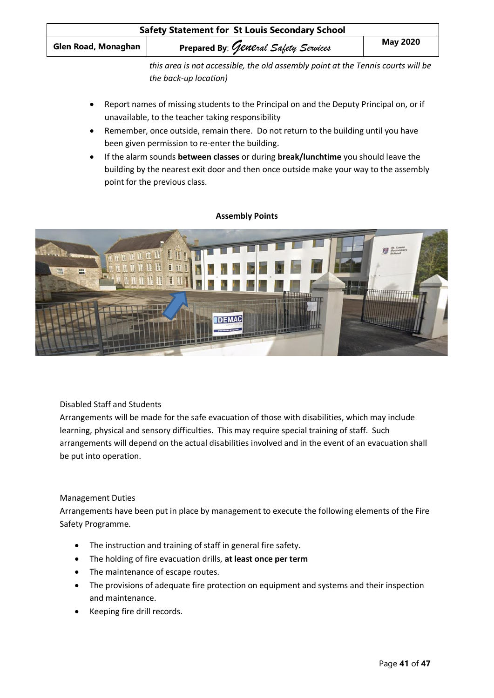| <b>Safety Statement for St Louis Secondary School</b>                            |                                      |                 |
|----------------------------------------------------------------------------------|--------------------------------------|-----------------|
| Glen Road, Monaghan                                                              | Prepared By: General Safety Services | <b>May 2020</b> |
| this area is not accessible, the old assembly point at the Tennis courts will be |                                      |                 |

- *the back-up location)*
- Report names of missing students to the Principal on and the Deputy Principal on, or if unavailable, to the teacher taking responsibility
- Remember, once outside, remain there. Do not return to the building until you have been given permission to re-enter the building.
- If the alarm sounds **between classes** or during **break/lunchtime** you should leave the building by the nearest exit door and then once outside make your way to the assembly point for the previous class.

#### **Assembly Points**



Disabled Staff and Students

Arrangements will be made for the safe evacuation of those with disabilities, which may include learning, physical and sensory difficulties. This may require special training of staff. Such arrangements will depend on the actual disabilities involved and in the event of an evacuation shall be put into operation.

# Management Duties

Arrangements have been put in place by management to execute the following elements of the Fire Safety Programme.

- The instruction and training of staff in general fire safety.
- The holding of fire evacuation drills, **at least once per term**
- The maintenance of escape routes.
- The provisions of adequate fire protection on equipment and systems and their inspection and maintenance.
- Keeping fire drill records.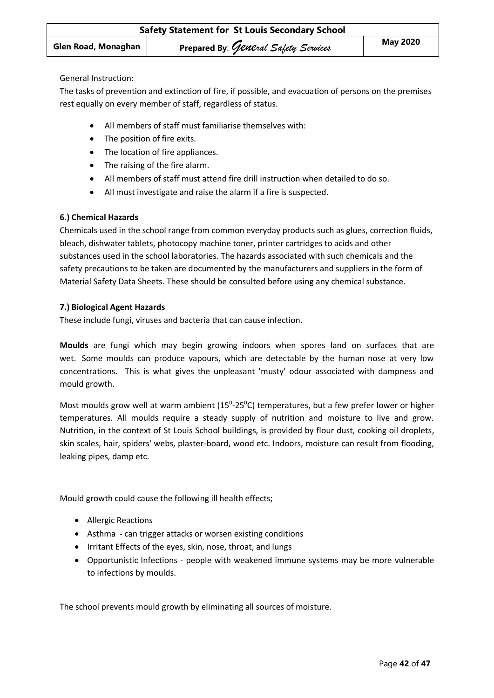General Instruction:

The tasks of prevention and extinction of fire, if possible, and evacuation of persons on the premises rest equally on every member of staff, regardless of status.

- All members of staff must familiarise themselves with:
- The position of fire exits.
- The location of fire appliances.
- The raising of the fire alarm.
- All members of staff must attend fire drill instruction when detailed to do so.
- All must investigate and raise the alarm if a fire is suspected.

# **6.) Chemical Hazards**

Chemicals used in the school range from common everyday products such as glues, correction fluids, bleach, dishwater tablets, photocopy machine toner, printer cartridges to acids and other substances used in the school laboratories. The hazards associated with such chemicals and the safety precautions to be taken are documented by the manufacturers and suppliers in the form of Material Safety Data Sheets. These should be consulted before using any chemical substance.

#### **7.) Biological Agent Hazards**

These include fungi, viruses and bacteria that can cause infection.

**Moulds** are fungi which may begin growing indoors when spores land on surfaces that are wet. Some moulds can produce vapours, which are detectable by the human nose at very low concentrations. This is what gives the unpleasant 'musty' odour associated with dampness and mould growth.

Most moulds grow well at warm ambient ( $15^{\circ}$ -25 $^{\circ}$ C) temperatures, but a few prefer lower or higher temperatures. All moulds require a steady supply of nutrition and moisture to live and grow. Nutrition, in the context of St Louis School buildings, is provided by flour dust, cooking oil droplets, skin scales, hair, spiders' webs, plaster-board, wood etc. Indoors, moisture can result from flooding, leaking pipes, damp etc.

Mould growth could cause the following ill health effects;

- Allergic Reactions
- Asthma can trigger attacks or worsen existing conditions
- Irritant Effects of the eyes, skin, nose, throat, and lungs
- Opportunistic Infections people with weakened immune systems may be more vulnerable to infections by moulds.

The school prevents mould growth by eliminating all sources of moisture.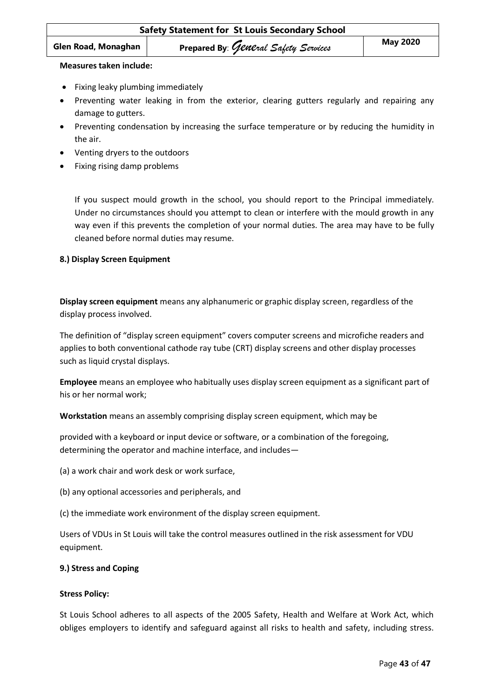#### **Measures taken include:**

- Fixing leaky plumbing immediately
- Preventing water leaking in from the exterior, clearing gutters regularly and repairing any damage to gutters.
- Preventing condensation by increasing the surface temperature or by reducing the humidity in the air.
- Venting dryers to the outdoors
- Fixing rising damp problems

If you suspect mould growth in the school, you should report to the Principal immediately. Under no circumstances should you attempt to clean or interfere with the mould growth in any way even if this prevents the completion of your normal duties. The area may have to be fully cleaned before normal duties may resume.

#### **8.) Display Screen Equipment**

**Display screen equipment** means any alphanumeric or graphic display screen, regardless of the display process involved.

The definition of "display screen equipment" covers computer screens and microfiche readers and applies to both conventional cathode ray tube (CRT) display screens and other display processes such as liquid crystal displays.

**Employee** means an employee who habitually uses display screen equipment as a significant part of his or her normal work;

**Workstation** means an assembly comprising display screen equipment, which may be

provided with a keyboard or input device or software, or a combination of the foregoing, determining the operator and machine interface, and includes—

(a) a work chair and work desk or work surface,

- (b) any optional accessories and peripherals, and
- (c) the immediate work environment of the display screen equipment.

Users of VDUs in St Louis will take the control measures outlined in the risk assessment for VDU equipment.

#### **9.) Stress and Coping**

#### **Stress Policy:**

St Louis School adheres to all aspects of the 2005 Safety, Health and Welfare at Work Act, which obliges employers to identify and safeguard against all risks to health and safety, including stress.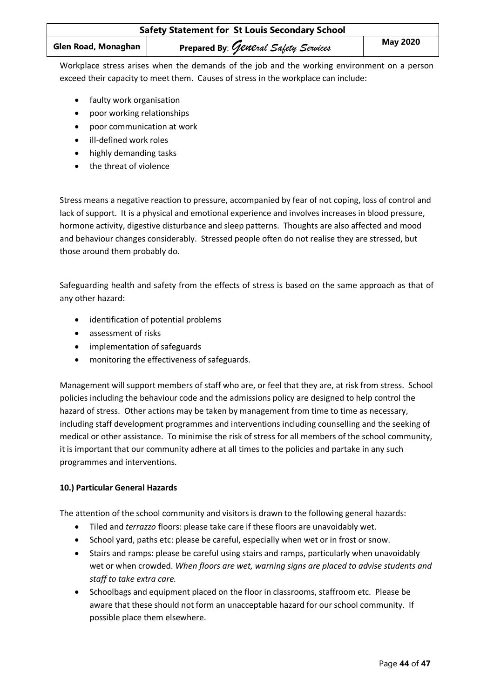Workplace stress arises when the demands of the job and the working environment on a person exceed their capacity to meet them. Causes of stress in the workplace can include:

- faulty work organisation
- poor working relationships
- poor communication at work
- ill-defined work roles
- highly demanding tasks
- the threat of violence

Stress means a negative reaction to pressure, accompanied by fear of not coping, loss of control and lack of support. It is a physical and emotional experience and involves increases in blood pressure, hormone activity, digestive disturbance and sleep patterns. Thoughts are also affected and mood and behaviour changes considerably. Stressed people often do not realise they are stressed, but those around them probably do.

Safeguarding health and safety from the effects of stress is based on the same approach as that of any other hazard:

- identification of potential problems
- assessment of risks
- implementation of safeguards
- monitoring the effectiveness of safeguards.

Management will support members of staff who are, or feel that they are, at risk from stress. School policies including the behaviour code and the admissions policy are designed to help control the hazard of stress. Other actions may be taken by management from time to time as necessary, including staff development programmes and interventions including counselling and the seeking of medical or other assistance. To minimise the risk of stress for all members of the school community, it is important that our community adhere at all times to the policies and partake in any such programmes and interventions.

# **10.) Particular General Hazards**

The attention of the school community and visitors is drawn to the following general hazards:

- Tiled and *terrazzo* floors: please take care if these floors are unavoidably wet.
- School yard, paths etc: please be careful, especially when wet or in frost or snow.
- Stairs and ramps: please be careful using stairs and ramps, particularly when unavoidably wet or when crowded. *When floors are wet, warning signs are placed to advise students and staff to take extra care.*
- Schoolbags and equipment placed on the floor in classrooms, staffroom etc. Please be aware that these should not form an unacceptable hazard for our school community. If possible place them elsewhere.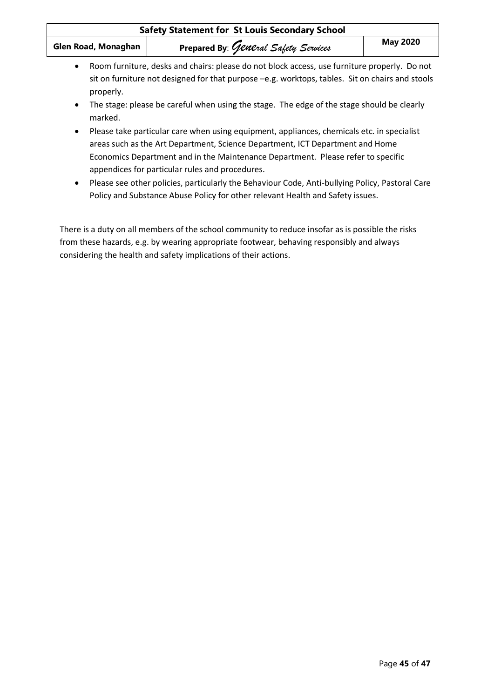| <b>Safety Statement for St Louis Secondary School</b> |                                                                                                                                                                                                                                                                                                                                                                                                                       |                 |
|-------------------------------------------------------|-----------------------------------------------------------------------------------------------------------------------------------------------------------------------------------------------------------------------------------------------------------------------------------------------------------------------------------------------------------------------------------------------------------------------|-----------------|
| Glen Road, Monaghan                                   | Prepared By: General Safety Services                                                                                                                                                                                                                                                                                                                                                                                  | <b>May 2020</b> |
| $\bullet$<br>properly.<br>$\bullet$                   | Room furniture, desks and chairs: please do not block access, use furniture properly. Do not<br>sit on furniture not designed for that purpose -e.g. worktops, tables. Sit on chairs and stools<br>The stage: please be careful when using the stage. The edge of the stage should be clearly                                                                                                                         |                 |
| marked.<br>$\bullet$<br>$\bullet$                     | Please take particular care when using equipment, appliances, chemicals etc. in specialist<br>areas such as the Art Department, Science Department, ICT Department and Home<br>Economics Department and in the Maintenance Department. Please refer to specific<br>appendices for particular rules and procedures.<br>Please see other policies, particularly the Behaviour Code, Anti-bullying Policy, Pastoral Care |                 |
|                                                       | Policy and Substance Abuse Policy for other relevant Health and Safety issues.                                                                                                                                                                                                                                                                                                                                        |                 |

There is a duty on all members of the school community to reduce insofar as is possible the risks from these hazards, e.g. by wearing appropriate footwear, behaving responsibly and always considering the health and safety implications of their actions.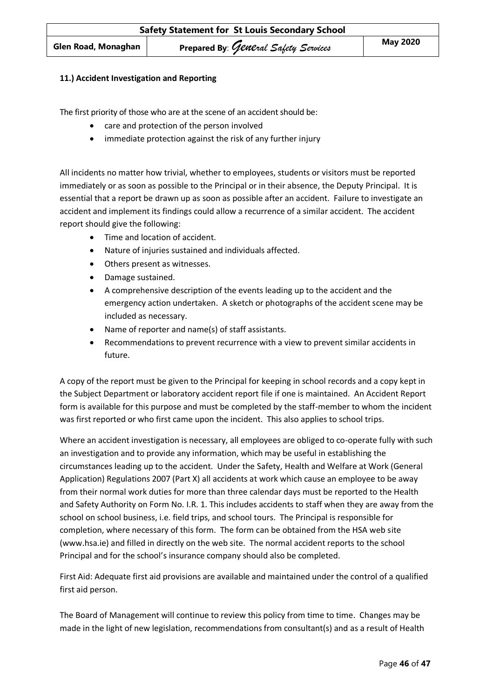## **11.) Accident Investigation and Reporting**

The first priority of those who are at the scene of an accident should be:

- care and protection of the person involved
- immediate protection against the risk of any further injury

All incidents no matter how trivial, whether to employees, students or visitors must be reported immediately or as soon as possible to the Principal or in their absence, the Deputy Principal. It is essential that a report be drawn up as soon as possible after an accident. Failure to investigate an accident and implement its findings could allow a recurrence of a similar accident. The accident report should give the following:

- Time and location of accident.
- Nature of injuries sustained and individuals affected.
- Others present as witnesses.
- Damage sustained.
- A comprehensive description of the events leading up to the accident and the emergency action undertaken. A sketch or photographs of the accident scene may be included as necessary.
- Name of reporter and name(s) of staff assistants.
- Recommendations to prevent recurrence with a view to prevent similar accidents in future.

A copy of the report must be given to the Principal for keeping in school records and a copy kept in the Subject Department or laboratory accident report file if one is maintained. An Accident Report form is available for this purpose and must be completed by the staff-member to whom the incident was first reported or who first came upon the incident. This also applies to school trips.

Where an accident investigation is necessary, all employees are obliged to co-operate fully with such an investigation and to provide any information, which may be useful in establishing the circumstances leading up to the accident. Under the Safety, Health and Welfare at Work (General Application) Regulations 2007 (Part X) all accidents at work which cause an employee to be away from their normal work duties for more than three calendar days must be reported to the Health and Safety Authority on Form No. I.R. 1. This includes accidents to staff when they are away from the school on school business, i.e. field trips, and school tours. The Principal is responsible for completion, where necessary of this form. The form can be obtained from the HSA web site (www.hsa.ie) and filled in directly on the web site. The normal accident reports to the school Principal and for the school's insurance company should also be completed.

First Aid: Adequate first aid provisions are available and maintained under the control of a qualified first aid person.

The Board of Management will continue to review this policy from time to time. Changes may be made in the light of new legislation, recommendations from consultant(s) and as a result of Health